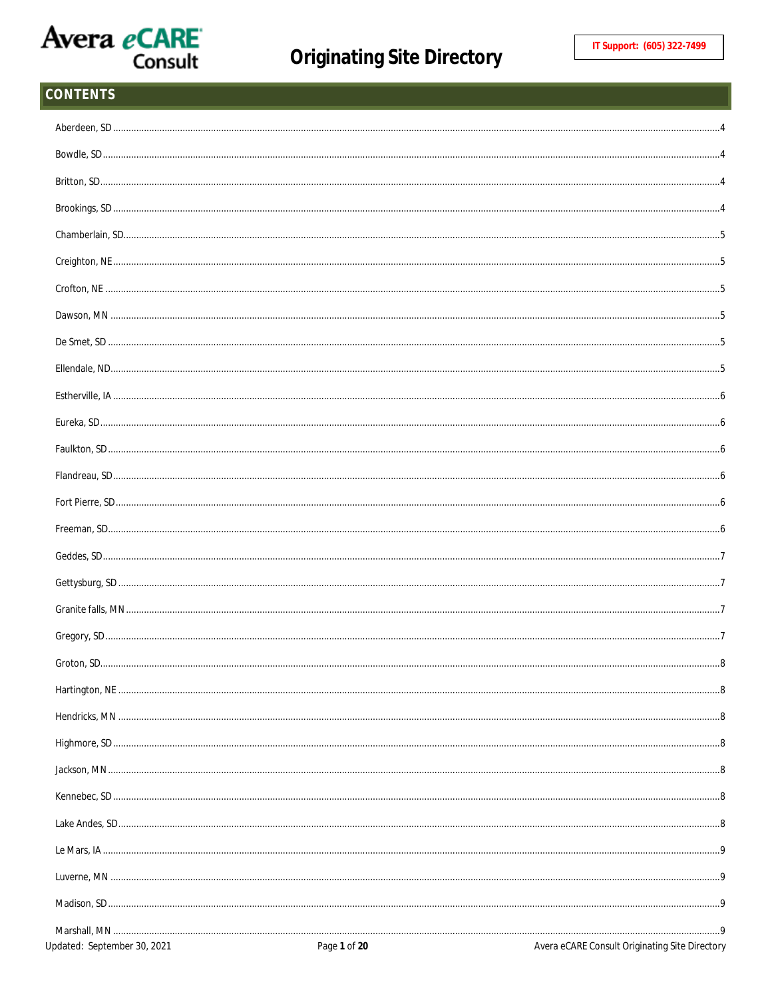#### **CONTENTS**  $\overline{A}$  $\overline{A}$  $\overline{5}$ .5 .5 .5 ..5  $\dots$ 5  $\dots 6$  $.6$ Faulkton, SD.  $.6$ Flandreau, SD..  $.6$  $.6$ Freeman, SD... .6  $.7$  $\overline{7}$ .7  $\overline{7}$  $\mathsf{R}$  $.8$ . . 8 ...8 Jackson, MN... . 8 Kennebec, SD...  $8.5$ Lake Andes, SD.,  $8.5$ Le Mars, IA ...  $.9$ Luverne, MN. .9 Madison, SD.  $.9$ Marshall, MN ........  $.9$ Updated: September 30, 2021 Avera eCARE Consult Originating Site Directory Page 1 of 20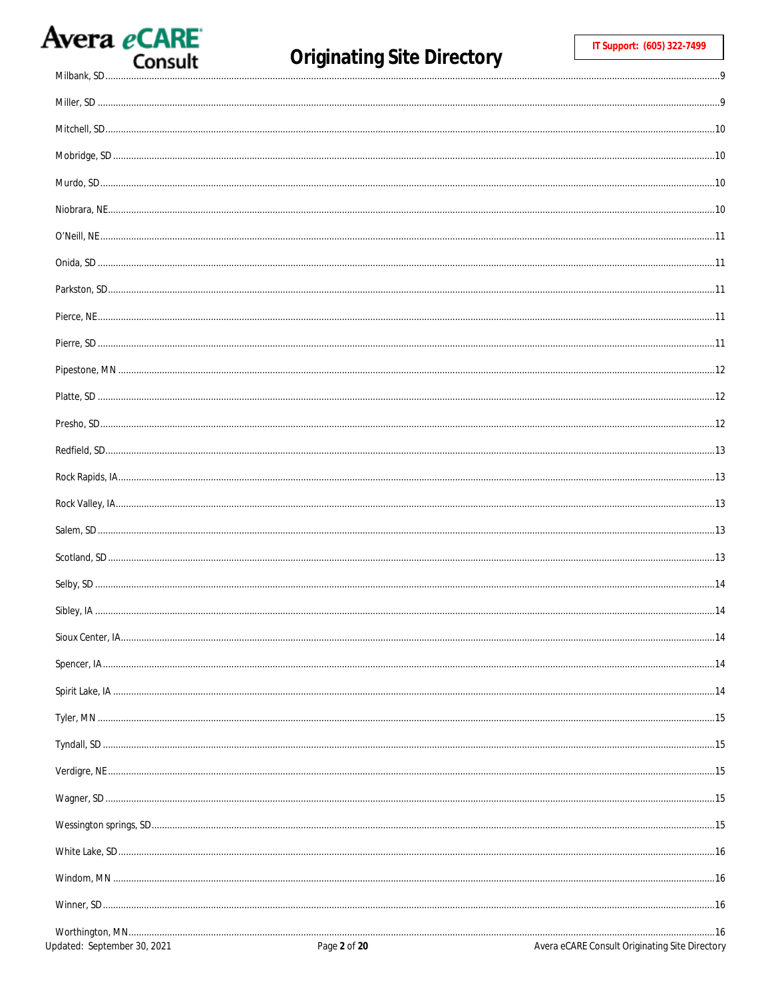# Avera eCARE

Milbank, SD.............

 $.9$ 

| Updated: September 30, 2021 | Page 2 of 20 | Avera eCARE Consult Originating Site Directory |
|-----------------------------|--------------|------------------------------------------------|
|                             |              |                                                |
|                             |              |                                                |
|                             |              |                                                |
|                             |              |                                                |
|                             |              |                                                |
|                             |              |                                                |
|                             |              |                                                |
|                             |              |                                                |
|                             |              |                                                |
|                             |              |                                                |
|                             |              |                                                |
|                             |              |                                                |
|                             |              |                                                |
|                             |              |                                                |
|                             |              |                                                |
|                             |              |                                                |
|                             |              |                                                |
|                             |              |                                                |
|                             |              |                                                |
|                             |              |                                                |
|                             |              |                                                |
|                             |              |                                                |
|                             |              |                                                |
|                             |              |                                                |
|                             |              |                                                |
|                             |              |                                                |
|                             |              |                                                |
|                             |              |                                                |
|                             |              |                                                |
|                             |              |                                                |
|                             |              |                                                |
|                             |              |                                                |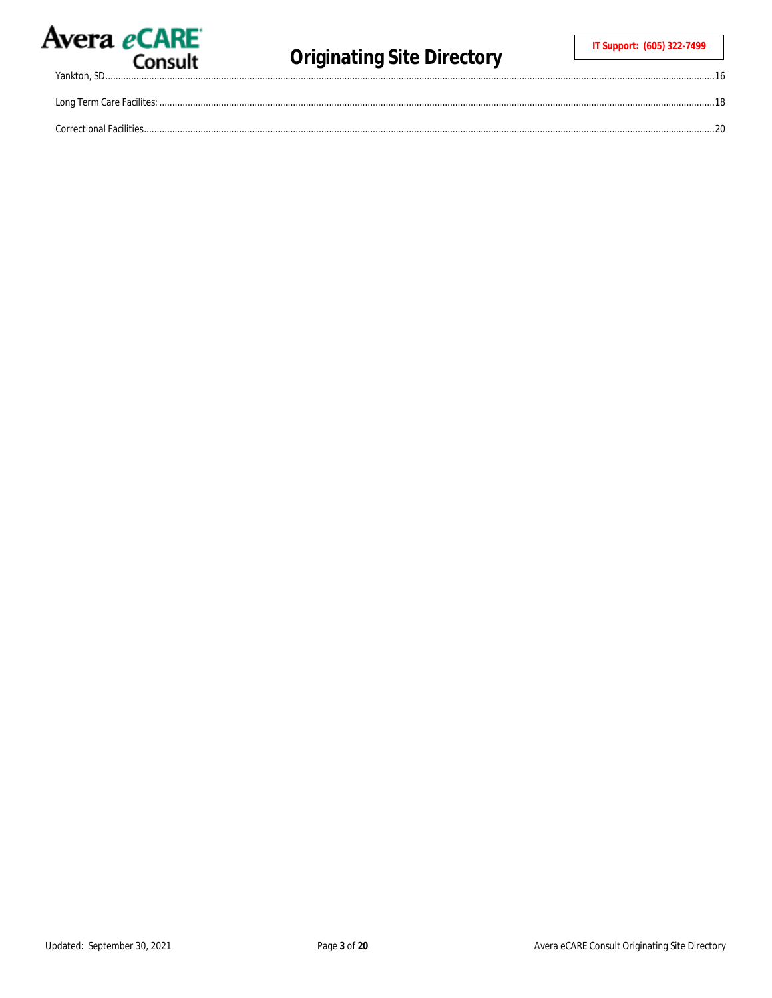

Yankton, SD.......

 $.16$ 

| Long Term Care Facilites: |  |
|---------------------------|--|
| Correctional Facilities   |  |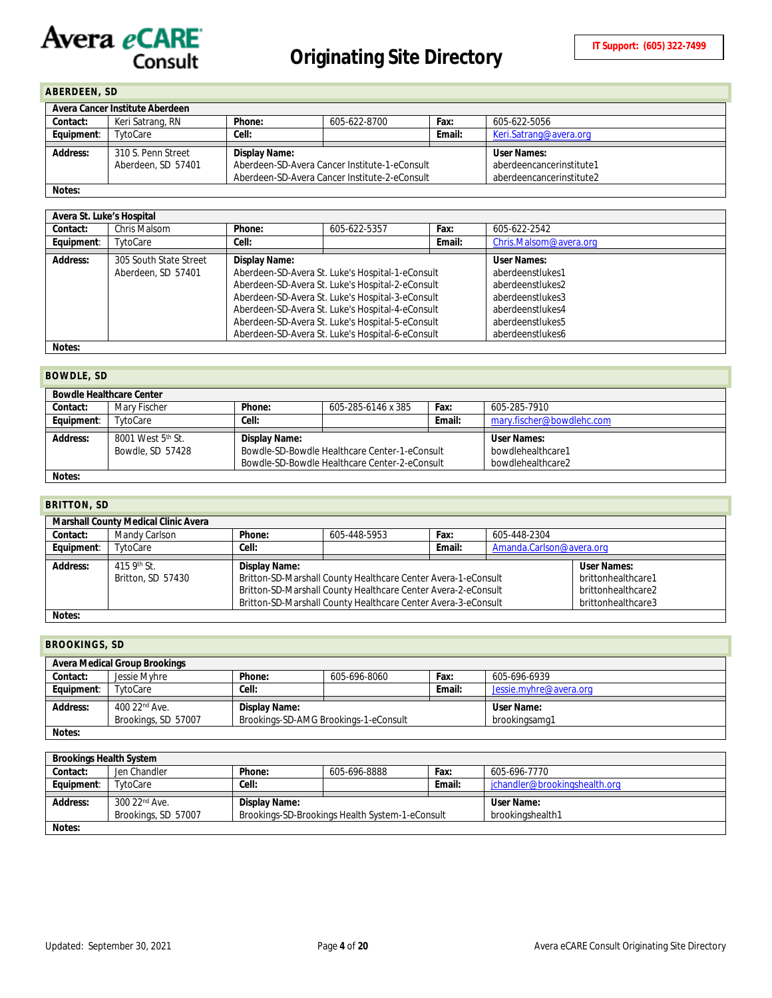# <span id="page-3-0"></span>**ABERDEEN, SD**

| Avera Cancer Institute Aberdeen |                    |               |                                               |                          |                        |
|---------------------------------|--------------------|---------------|-----------------------------------------------|--------------------------|------------------------|
| Contact:                        | Keri Satrang, RN   | Phone:        | 605-622-8700                                  | Fax:                     | 605-622-5056           |
| Equipment:                      | TytoCare           | Cell:         |                                               | Email:                   | Keri.Satrang@avera.org |
|                                 |                    |               |                                               |                          |                        |
| Address:                        | 310 S. Penn Street | Display Name: |                                               |                          | User Names:            |
|                                 | Aberdeen, SD 57401 |               | Aberdeen-SD-Avera Cancer Institute-1-eConsult | aberdeencancerinstitute1 |                        |
|                                 |                    |               | Aberdeen-SD-Avera Cancer Institute-2-eConsult | aberdeencancerinstitute2 |                        |
| Notes:                          |                    |               |                                               |                          |                        |

|            | Avera St. Luke's Hospital                    |               |                                                                                                                                                                                                                                                                                                                      |        |                                                                                                                                            |  |  |  |
|------------|----------------------------------------------|---------------|----------------------------------------------------------------------------------------------------------------------------------------------------------------------------------------------------------------------------------------------------------------------------------------------------------------------|--------|--------------------------------------------------------------------------------------------------------------------------------------------|--|--|--|
| Contact:   | Chris Malsom                                 | Phone:        | 605-622-5357                                                                                                                                                                                                                                                                                                         | Fax:   | 605-622-2542                                                                                                                               |  |  |  |
| Equipment: | TytoCare                                     | Cell:         |                                                                                                                                                                                                                                                                                                                      | Email: | Chris.Malsom@avera.org                                                                                                                     |  |  |  |
| Address:   | 305 South State Street<br>Aberdeen, SD 57401 | Display Name: | Aberdeen-SD-Avera St. Luke's Hospital-1-eConsult<br>Aberdeen-SD-Avera St. Luke's Hospital-2-eConsult<br>Aberdeen-SD-Avera St. Luke's Hospital-3-eConsult<br>Aberdeen-SD-Avera St. Luke's Hospital-4-eConsult<br>Aberdeen-SD-Avera St. Luke's Hospital-5-eConsult<br>Aberdeen-SD-Avera St. Luke's Hospital-6-eConsult |        | <b>User Names:</b><br>aberdeenstlukes1<br>aberdeenstlukes2<br>aberdeenstlukes3<br>aberdeenstlukes4<br>aberdeenstlukes5<br>aberdeenstlukes6 |  |  |  |
| Notes:     |                                              |               |                                                                                                                                                                                                                                                                                                                      |        |                                                                                                                                            |  |  |  |

#### <span id="page-3-1"></span>**BOWDLE, SD**

| <b>Bowdle Healthcare Center</b> |                                                   |               |                                                                                                |        |                                                       |  |
|---------------------------------|---------------------------------------------------|---------------|------------------------------------------------------------------------------------------------|--------|-------------------------------------------------------|--|
| Contact:                        | Mary Fischer                                      | Phone:        | 605-285-6146 x 385                                                                             | Fax:   | 605-285-7910                                          |  |
| Equipment:                      | TytoCare                                          | Cell:         |                                                                                                | Email: | mary.fischer@bowdlehc.com                             |  |
| Address:                        | 8001 West 5 <sup>th</sup> St.<br>Bowdle, SD 57428 | Display Name: | Bowdle-SD-Bowdle Healthcare Center-1-eConsult<br>Bowdle-SD-Bowdle Healthcare Center-2-eConsult |        | User Names:<br>bowdlehealthcare1<br>bowdlehealthcare2 |  |
| Notes:                          |                                                   |               |                                                                                                |        |                                                       |  |

#### <span id="page-3-2"></span>**BRITTON, SD**

|            | Marshall County Medical Clinic Avera |               |                                                                                     |        |                          |                    |  |  |
|------------|--------------------------------------|---------------|-------------------------------------------------------------------------------------|--------|--------------------------|--------------------|--|--|
| Contact:   | Mandy Carlson                        | Phone:        | 605-448-5953                                                                        | Fax:   | 605-448-2304             |                    |  |  |
| Equipment: | TytoCare                             | Cell:         |                                                                                     | Email: | Amanda.Carlson@avera.org |                    |  |  |
|            |                                      |               |                                                                                     |        |                          |                    |  |  |
| Address:   | 415 9th St.                          | Display Name: |                                                                                     |        |                          | User Names:        |  |  |
|            | Britton, SD 57430                    |               | Britton-SD-Marshall County Healthcare Center Avera-1-eConsult                       |        |                          | brittonhealthcare1 |  |  |
|            |                                      |               | Britton-SD-Marshall County Healthcare Center Avera-2-eConsult                       |        |                          | brittonhealthcare2 |  |  |
|            |                                      |               | Britton-SD-Marshall County Healthcare Center Avera-3-eConsult<br>brittonhealthcare3 |        |                          |                    |  |  |
| Notes:     |                                      |               |                                                                                     |        |                          |                    |  |  |

# <span id="page-3-3"></span>**BROOKINGS, SD**

| <b>Avera Medical Group Brookings</b> |                           |                                       |              |        |                        |  |  |
|--------------------------------------|---------------------------|---------------------------------------|--------------|--------|------------------------|--|--|
| Contact:                             | Jessie Myhre              | Phone:                                | 605-696-8060 | Fax:   | 605-696-6939           |  |  |
| Equipment:                           | TytoCare                  | Cell:                                 |              | Email: | Jessie.myhre@avera.org |  |  |
| Address:                             | 400 22 <sup>nd</sup> Ave. | Display Name:                         |              |        | User Name:             |  |  |
|                                      | Brookings, SD 57007       | Brookings-SD-AMG Brookings-1-eConsult |              |        | brookingsamg1          |  |  |
| Notes:                               |                           |                                       |              |        |                        |  |  |

| <b>Brookings Health System</b> |                           |               |                                                 |        |                               |  |  |
|--------------------------------|---------------------------|---------------|-------------------------------------------------|--------|-------------------------------|--|--|
| Contact:                       | Jen Chandler              | Phone:        | 605-696-8888                                    | Fax:   | 605-696-7770                  |  |  |
| Equipment:                     | TytoCare                  | Cell:         |                                                 | Email: | jchandler@brookingshealth.org |  |  |
|                                |                           |               |                                                 |        |                               |  |  |
| Address:                       | 300 22 <sup>nd</sup> Ave. | Display Name: |                                                 |        | User Name:                    |  |  |
|                                |                           |               |                                                 |        |                               |  |  |
|                                | Brookings, SD 57007       |               | Brookings-SD-Brookings Health System-1-eConsult |        | brookingshealth1              |  |  |
| Notes:                         |                           |               |                                                 |        |                               |  |  |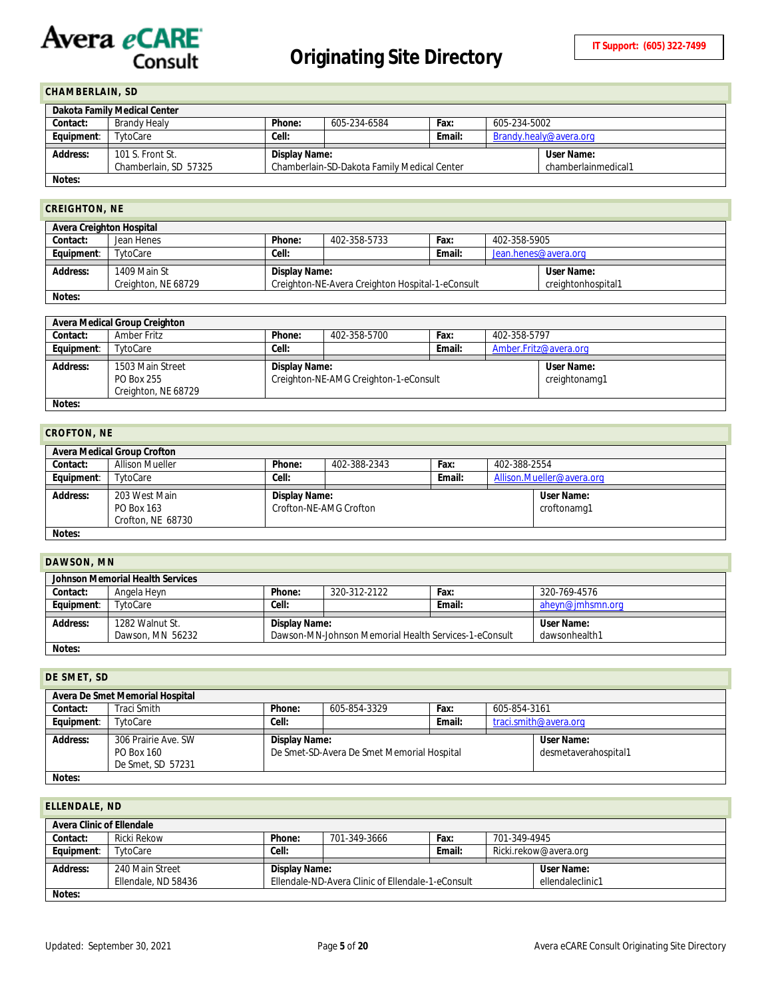#### <span id="page-4-0"></span>**CHAMBERLAIN, SD**

| Dakota Family Medical Center |                       |                                             |              |        |                        |                     |  |
|------------------------------|-----------------------|---------------------------------------------|--------------|--------|------------------------|---------------------|--|
| Contact:                     | Brandy Healy          | Phone:                                      | 605-234-6584 | Fax:   | 605-234-5002           |                     |  |
| Equipment:                   | TytoCare              | Cell:                                       |              | Email: | Brandy.healy@avera.org |                     |  |
| Address:                     | 101 S. Front St.      | Display Name:                               |              |        |                        | User Name:          |  |
|                              | Chamberlain, SD 57325 | Chamberlain-SD-Dakota Family Medical Center |              |        |                        | chamberlainmedical1 |  |
| Notes:                       |                       |                                             |              |        |                        |                     |  |

# <span id="page-4-1"></span>**CREIGHTON, NE**

| VILLIUIII VII, IIL       |                                     |                                                                   |              |        |                      |                                  |  |
|--------------------------|-------------------------------------|-------------------------------------------------------------------|--------------|--------|----------------------|----------------------------------|--|
| Avera Creighton Hospital |                                     |                                                                   |              |        |                      |                                  |  |
| Contact:                 | Jean Henes                          | Phone:                                                            | 402-358-5733 | Fax:   | 402-358-5905         |                                  |  |
| Equipment:               | TytoCare                            | Cell:                                                             |              | Email: | Jean.henes@avera.org |                                  |  |
| Address:<br>Notes:       | 1409 Main St<br>Creighton, NE 68729 | Display Name:<br>Creighton-NE-Avera Creighton Hospital-1-eConsult |              |        |                      | User Name:<br>creightonhospital1 |  |

|            | Avera Medical Group Creighton     |               |                                       |               |                       |            |  |
|------------|-----------------------------------|---------------|---------------------------------------|---------------|-----------------------|------------|--|
| Contact:   | Amber Fritz                       | Phone:        | 402-358-5700                          | Fax:          | 402-358-5797          |            |  |
| Equipment: | TytoCare                          | Cell:         |                                       | Email:        | Amber.Fritz@avera.org |            |  |
| Address:   | 1503 Main Street                  | Display Name: |                                       |               |                       | User Name: |  |
|            | PO Box 255<br>Creighton, NE 68729 |               | Creighton-NE-AMG Creighton-1-eConsult | creightonamg1 |                       |            |  |
|            |                                   |               |                                       |               |                       |            |  |

**Notes:**

<span id="page-4-2"></span>

| <b>CROFTON, NE</b> |                                                  |               |                                      |        |                                  |  |  |
|--------------------|--------------------------------------------------|---------------|--------------------------------------|--------|----------------------------------|--|--|
|                    | <b>Avera Medical Group Crofton</b>               |               |                                      |        |                                  |  |  |
| Contact:           | <b>Allison Mueller</b>                           | Phone:        | 402-388-2343<br>Fax:<br>402-388-2554 |        |                                  |  |  |
| Equipment:         | TytoCare                                         | Cell:         |                                      | Email: | Allison.Mueller@avera.org        |  |  |
| Address:           | 203 West Main<br>PO Box 163<br>Crofton, NE 68730 | Display Name: | Crofton-NE-AMG Crofton               |        | <b>User Name:</b><br>croftonamg1 |  |  |
| Notes:             |                                                  |               |                                      |        |                                  |  |  |

**Notes:**

<span id="page-4-3"></span>

| DAWSON, MN |                                     |               |                                                       |        |                             |
|------------|-------------------------------------|---------------|-------------------------------------------------------|--------|-----------------------------|
|            | Johnson Memorial Health Services    |               |                                                       |        |                             |
| Contact:   | Angela Heyn                         | Phone:        | 320-312-2122                                          | Fax:   | 320-769-4576                |
| Equipment: | TytoCare                            | Cell:         |                                                       | Email: | aheyn@jmhsmn.org            |
| Address:   | 1282 Walnut St.<br>Dawson, MN 56232 | Display Name: | Dawson-MN-Johnson Memorial Health Services-1-eConsult |        | User Name:<br>dawsonhealth1 |
| Notes:     |                                     |               |                                                       |        |                             |

# <span id="page-4-4"></span>**DE SMET, SD Avera De Smet Memorial Hospital Contact:** Traci Smith **Phone:** 605-854-3329 **Fax:** 605-854-3161 **Address:** 306 Prairie Ave. SW **Display Name:**

| .          |                     |               |                                            |        |                       |  |
|------------|---------------------|---------------|--------------------------------------------|--------|-----------------------|--|
| Equipment: | TvtoCare            | Cell:         |                                            | Email: | traci.smith@avera.org |  |
|            |                     |               |                                            |        |                       |  |
| Address:   | 306 Prairie Ave. SW | Display Name: |                                            |        | User Name:            |  |
|            | PO Box 160          |               | De Smet-SD-Avera De Smet Memorial Hospital |        | desmetaverahospital1  |  |
|            | De Smet, SD 57231   |               |                                            |        |                       |  |
|            |                     |               |                                            |        |                       |  |

<span id="page-4-5"></span>

| ELLENDALE, ND             |                                        |               |                                                   |        |              |                                |
|---------------------------|----------------------------------------|---------------|---------------------------------------------------|--------|--------------|--------------------------------|
| Avera Clinic of Ellendale |                                        |               |                                                   |        |              |                                |
| Contact:                  | Ricki Rekow                            | Phone:        | 701-349-3666                                      | Fax:   | 701-349-4945 |                                |
| Equipment:                | TytoCare                               | Cell:         |                                                   | Email: |              | Ricki.rekow@avera.org          |
| Address:                  | 240 Main Street<br>Ellendale, ND 58436 | Display Name: | Ellendale-ND-Avera Clinic of Ellendale-1-eConsult |        |              | User Name:<br>ellendaleclinic1 |
| Notes:                    |                                        |               |                                                   |        |              |                                |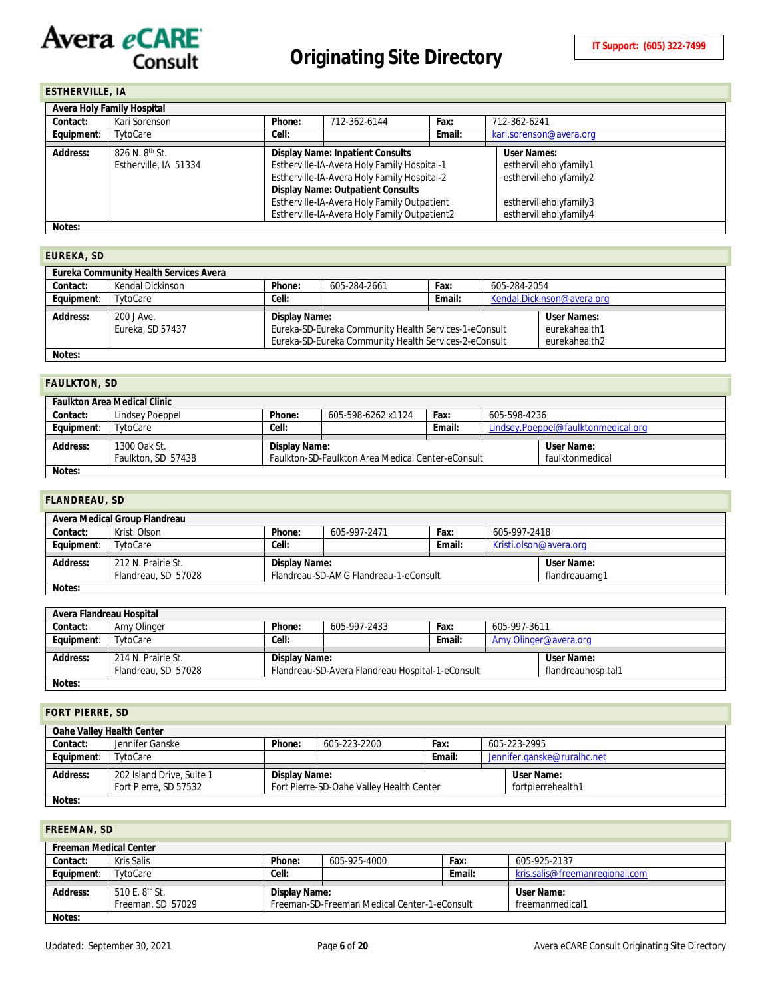### <span id="page-5-0"></span>**ESTHERVILLE, IA**

|                 | Avera Holy Family Hospital |        |                                              |        |                         |
|-----------------|----------------------------|--------|----------------------------------------------|--------|-------------------------|
| Contact:        | Kari Sorenson              | Phone: | 712-362-6144                                 | Fax:   | 712-362-6241            |
| Equipment:      | TytoCare                   | Cell:  |                                              | Email: | kari.sorenson@avera.org |
| <b>Address:</b> | 826 N. 8 <sup>th</sup> St. |        | <b>Display Name: Inpatient Consults</b>      |        | User Names:             |
|                 | Estherville, IA 51334      |        | Estherville-IA-Avera Holy Family Hospital-1  |        | esthervilleholyfamily1  |
|                 |                            |        | Estherville-IA-Avera Holy Family Hospital-2  |        | esthervilleholyfamily2  |
|                 |                            |        | <b>Display Name: Outpatient Consults</b>     |        |                         |
|                 |                            |        | Estherville-IA-Avera Holy Family Outpatient  |        | esthervilleholyfamily3  |
|                 |                            |        | Estherville-IA-Avera Holy Family Outpatient2 |        | esthervilleholyfamily4  |
| Notes:          |                            |        |                                              |        |                         |

#### <span id="page-5-1"></span>**EUREKA, SD**

| ---------       |                                               |               |                                                       |        |              |                            |
|-----------------|-----------------------------------------------|---------------|-------------------------------------------------------|--------|--------------|----------------------------|
|                 | <b>Eureka Community Health Services Avera</b> |               |                                                       |        |              |                            |
| Contact:        | Kendal Dickinson                              | Phone:        | 605-284-2661                                          | Fax:   | 605-284-2054 |                            |
| Equipment:      | TytoCare                                      | Cell:         |                                                       | Email: |              | Kendal.Dickinson@avera.org |
|                 |                                               |               |                                                       |        |              |                            |
| <b>Address:</b> | 200 J Ave.                                    | Display Name: |                                                       |        |              | User Names:                |
|                 | Eureka, SD 57437                              |               | Eureka-SD-Eureka Community Health Services-1-eConsult |        |              | eurekahealth1              |
|                 |                                               |               | Eureka-SD-Eureka Community Health Services-2-eConsult |        |              | eurekahealth2              |
| Notes:          |                                               |               |                                                       |        |              |                            |

#### <span id="page-5-2"></span>**FAULKTON, SD**

|            | <b>Faulkton Area Medical Clinic</b> |               |                                                   |        |              |                                     |
|------------|-------------------------------------|---------------|---------------------------------------------------|--------|--------------|-------------------------------------|
| Contact:   | Lindsev Poeppel                     | Phone:        | 605-598-6262 x1124                                | Fax:   | 605-598-4236 |                                     |
| Equipment: | TvtoCare                            | Cell:         |                                                   | Email: |              | Lindsey.Poeppel@faulktonmedical.org |
|            |                                     |               |                                                   |        |              |                                     |
| Address:   | 1300 Oak St.                        | Display Name: |                                                   |        |              | User Name:                          |
|            | Faulkton, SD 57438                  |               | Faulkton-SD-Faulkton Area Medical Center-eConsult |        |              | faulktonmedical                     |
| Notes:     |                                     |               |                                                   |        |              |                                     |

### <span id="page-5-3"></span>**FLANDREAU, SD**

|            | Avera Medical Group Flandreau             |               |                                       |        |              |                             |
|------------|-------------------------------------------|---------------|---------------------------------------|--------|--------------|-----------------------------|
| Contact:   | Kristi Olson                              | Phone:        | 605-997-2471                          | Fax:   | 605-997-2418 |                             |
| Equipment: | TvtoCare                                  | Cell:         |                                       | Email: |              | Kristi.olson@avera.org      |
| Address:   | 212 N. Prairie St.<br>Flandreau, SD 57028 | Display Name: | Flandreau-SD-AMG Flandreau-1-eConsult |        |              | User Name:<br>flandreauamg1 |
| Notes:     |                                           |               |                                       |        |              |                             |

#### **Avera Flandreau Hospital**<br> **Contact:** Amy Olinge **Contact:** Amy Olinger **Phone:** 605-997-2433 **Fax:** 605-997-3611<br> **Equipment:** TytoCare **Cell: Cell: Email:** Amy Olinger **Cell:** Cell: TytoCare *Cell:* **Email:** [Amy.Olinger@avera.org](mailto:Amy.Olinger@avera.org) **Address:** 214 N. Prairie St. Flandreau, SD 57028 **Display Name:** Flandreau-SD-Avera Flandreau Hospital-1-eConsult **User Name:** flandreauhospital1 **Notes:**

#### <span id="page-5-4"></span>**FORT PIERRE, SD**

|            | Oahe Valley Health Center |               |                                          |        |                             |
|------------|---------------------------|---------------|------------------------------------------|--------|-----------------------------|
| Contact:   | Jennifer Ganske           | Phone:        | 605-223-2200                             | Fax:   | 605-223-2995                |
| Equipment: | TytoCare                  |               |                                          | Email: | Jennifer.ganske@ruralhc.net |
| Address:   | 202 Island Drive, Suite 1 | Display Name: |                                          |        | User Name:                  |
|            |                           |               |                                          |        |                             |
|            |                           |               |                                          |        |                             |
|            | Fort Pierre, SD 57532     |               | Fort Pierre-SD-Oahe Valley Health Center |        | fortpierrehealth1           |

#### <span id="page-5-5"></span>**FREEMAN, SD**

| <b>Freeman Medical Center</b> |                            |               |                                              |        |                                |
|-------------------------------|----------------------------|---------------|----------------------------------------------|--------|--------------------------------|
| Contact:                      | Kris Salis                 | Phone:        | 605-925-4000                                 | Fax:   | 605-925-2137                   |
| Equipment:                    | TytoCare                   | Cell:         |                                              | Email: | kris.salis@freemanregional.com |
|                               |                            |               |                                              |        |                                |
|                               |                            |               |                                              |        |                                |
| Address:                      | 510 E. 8 <sup>th</sup> St. | Display Name: |                                              |        | User Name:                     |
|                               | Freeman, SD 57029          |               | Freeman-SD-Freeman Medical Center-1-eConsult |        | freemanmedical1                |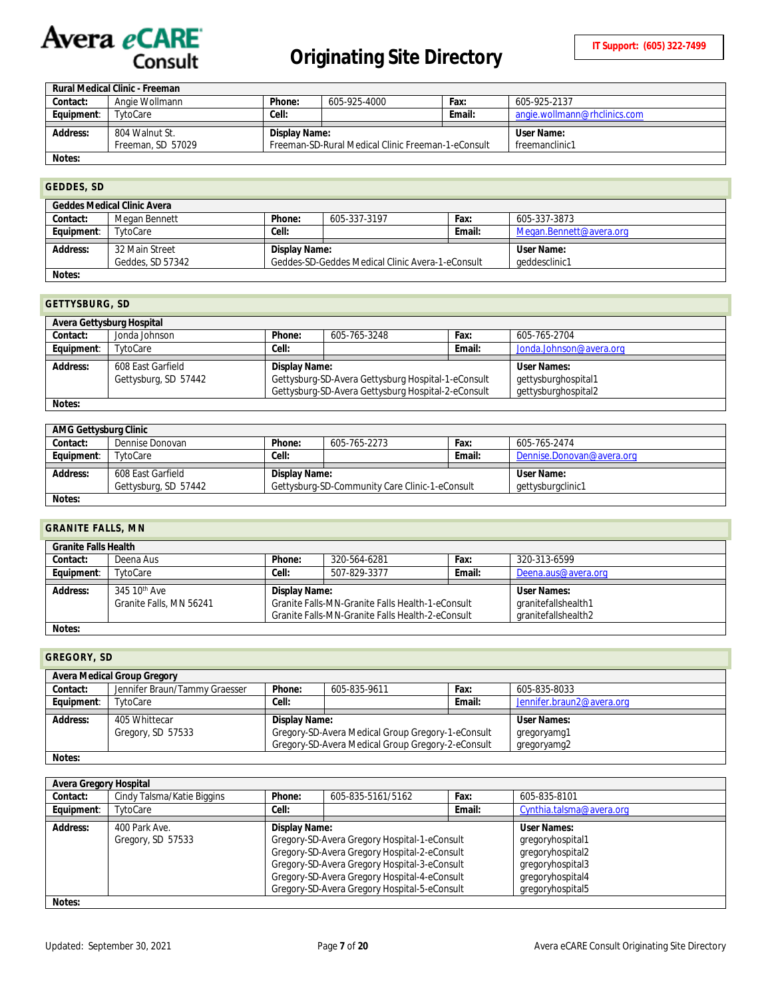|            | Rural Medical Clinic - Freeman |               |                                                    |        |                              |
|------------|--------------------------------|---------------|----------------------------------------------------|--------|------------------------------|
| Contact:   | Angie Wollmann                 | Phone:        | 605-925-4000                                       | Fax:   | 605-925-2137                 |
| Equipment: | TvtoCare                       | Cell:         |                                                    | Email: | angie.wollmann@rhclinics.com |
|            |                                |               |                                                    |        |                              |
|            |                                |               |                                                    |        |                              |
| Address:   | 804 Walnut St.                 | Display Name: |                                                    |        | User Name:                   |
|            | Freeman, SD 57029              |               | Freeman-SD-Rural Medical Clinic Freeman-1-eConsult |        | freemanclinic1               |

### <span id="page-6-0"></span>**GEDDES, SD**

|            | <b>Geddes Medical Clinic Avera</b> |               |                                                  |        |                         |
|------------|------------------------------------|---------------|--------------------------------------------------|--------|-------------------------|
| Contact:   | Megan Bennett                      | Phone:        | 605-337-3197                                     | Fax:   | 605-337-3873            |
| Equipment: | TytoCare                           | Cell:         |                                                  | Email: | Megan.Bennett@avera.org |
| Address:   | 32 Main Street                     | Display Name: |                                                  |        | User Name:              |
|            | Geddes, SD 57342                   |               | Geddes-SD-Geddes Medical Clinic Avera-1-eConsult |        | geddesclinic1           |
| Notes:     |                                    |               |                                                  |        |                         |

#### <span id="page-6-1"></span>**GETTYSBURG, SD**

|            | Avera Gettysburg Hospital |               |                                                    |        |                         |
|------------|---------------------------|---------------|----------------------------------------------------|--------|-------------------------|
| Contact:   | Jonda Johnson             | Phone:        | 605-765-3248                                       | Fax:   | 605-765-2704            |
| Equipment: | TytoCare                  | Cell:         |                                                    | Email: | Jonda.Johnson@avera.org |
|            |                           |               |                                                    |        |                         |
|            |                           |               |                                                    |        |                         |
| Address:   | 608 East Garfield         | Display Name: |                                                    |        | User Names:             |
|            | Gettysburg, SD 57442      |               | Gettysburg-SD-Avera Gettysburg Hospital-1-eConsult |        | gettysburghospital1     |
|            |                           |               | Gettysburg-SD-Avera Gettysburg Hospital-2-eConsult |        | gettysburghospital2     |

**Notes:**

| AMG Gettysburg Clinic |                      |               |                                                |        |                           |
|-----------------------|----------------------|---------------|------------------------------------------------|--------|---------------------------|
| Contact:              | Dennise Donovan      | Phone:        | 605-765-2273                                   | Fax:   | 605-765-2474              |
| Equipment:            | TytoCare             | Cell:         |                                                | Email: | Dennise.Donovan@avera.org |
|                       |                      |               |                                                |        |                           |
|                       |                      |               |                                                |        |                           |
|                       |                      |               |                                                |        |                           |
| Address:              | 608 East Garfield    | Display Name: |                                                |        | User Name:                |
|                       | Gettysburg, SD 57442 |               | Gettysburg-SD-Community Care Clinic-1-eConsult |        | gettysburgclinic1         |

# <span id="page-6-2"></span>**GRANITE FALLS, MN**

|            | <b>Granite Falls Health</b> |               |                                                  |        |                     |  |  |  |  |
|------------|-----------------------------|---------------|--------------------------------------------------|--------|---------------------|--|--|--|--|
| Contact:   | Deena Aus                   | Phone:        | 320-564-6281                                     | Fax:   | 320-313-6599        |  |  |  |  |
| Equipment: | TytoCare                    | Cell:         | 507-829-3377                                     | Email: | Deena.aus@avera.org |  |  |  |  |
|            |                             |               |                                                  |        |                     |  |  |  |  |
| Address:   | 345 10 <sup>th</sup> Ave    | Display Name: |                                                  |        | User Names:         |  |  |  |  |
|            | Granite Falls, MN 56241     |               | Granite Falls-MN-Granite Falls Health-1-eConsult |        | granitefallshealth1 |  |  |  |  |
|            |                             |               |                                                  |        |                     |  |  |  |  |
|            |                             |               | Granite Falls-MN-Granite Falls Health-2-eConsult |        | granitefallshealth2 |  |  |  |  |
| Notes:     |                             |               |                                                  |        |                     |  |  |  |  |

<span id="page-6-3"></span>**GREGORY, SD**

|            | Avera Medical Group Gregory   |               |                                                   |        |                           |
|------------|-------------------------------|---------------|---------------------------------------------------|--------|---------------------------|
| Contact:   | Jennifer Braun/Tammy Graesser | Phone:        | 605-835-9611                                      | Fax:   | 605-835-8033              |
| Equipment: | TytoCare                      | Cell:         |                                                   | Email: | Jennifer.braun2@avera.org |
|            |                               |               |                                                   |        |                           |
|            |                               |               |                                                   |        |                           |
| Address:   | 405 Whittecar                 | Display Name: |                                                   |        | <b>User Names:</b>        |
|            | Gregory, SD 57533             |               | Gregory-SD-Avera Medical Group Gregory-1-eConsult |        | gregoryamg1               |
|            |                               |               | Gregory-SD-Avera Medical Group Gregory-2-eConsult |        | gregoryamg2               |

| Avera Gregory Hospital |                                    |               |                                                                                                                                                                                                                                              |        |                                                                                                                 |
|------------------------|------------------------------------|---------------|----------------------------------------------------------------------------------------------------------------------------------------------------------------------------------------------------------------------------------------------|--------|-----------------------------------------------------------------------------------------------------------------|
| Contact:               | Cindy Talsma/Katie Biggins         | Phone:        | 605-835-5161/5162                                                                                                                                                                                                                            | Fax:   | 605-835-8101                                                                                                    |
| Equipment:             | TvtoCare                           | Cell:         |                                                                                                                                                                                                                                              | Email: | Cynthia.talsma@avera.org                                                                                        |
| Address:               | 400 Park Ave.<br>Gregory, SD 57533 | Display Name: | Gregory-SD-Avera Gregory Hospital-1-eConsult<br>Gregory-SD-Avera Gregory Hospital-2-eConsult<br>Gregory-SD-Avera Gregory Hospital-3-eConsult<br>Gregory-SD-Avera Gregory Hospital-4-eConsult<br>Gregory-SD-Avera Gregory Hospital-5-eConsult |        | User Names:<br>gregoryhospital1<br>gregoryhospital2<br>gregoryhospital3<br>gregoryhospital4<br>gregoryhospital5 |
| Notes:                 |                                    |               |                                                                                                                                                                                                                                              |        |                                                                                                                 |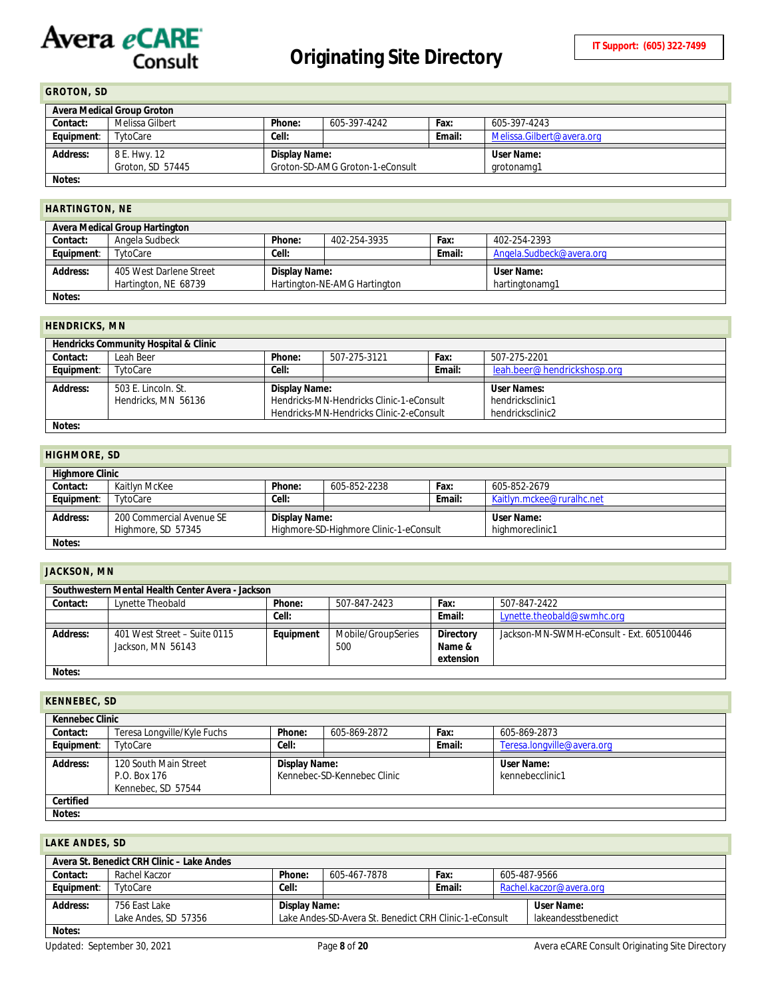## <span id="page-7-0"></span>**GROTON, SD**

|            | Avera Medical Group Groton |                                 |              |        |                           |  |  |  |
|------------|----------------------------|---------------------------------|--------------|--------|---------------------------|--|--|--|
| Contact:   | Melissa Gilbert            | Phone:                          | 605-397-4242 | Fax:   | 605-397-4243              |  |  |  |
| Equipment: | TytoCare                   | Cell:                           |              | Email: | Melissa.Gilbert@avera.org |  |  |  |
|            |                            |                                 |              |        |                           |  |  |  |
|            |                            | User Name:<br>Display Name:     |              |        |                           |  |  |  |
| Address:   | 8 E. Hwy. 12               | Groton-SD-AMG Groton-1-eConsult |              |        |                           |  |  |  |
|            | Groton, SD 57445           |                                 |              |        | arotonama1                |  |  |  |

# <span id="page-7-1"></span>**HARTINGTON, NE**

|            | Avera Medical Group Hartington                  |               |                              |        |                              |
|------------|-------------------------------------------------|---------------|------------------------------|--------|------------------------------|
| Contact:   | Angela Sudbeck                                  | Phone:        | 402-254-3935                 | Fax:   | 402-254-2393                 |
| Equipment: | TytoCare                                        | Cell:         |                              | Email: | Angela.Sudbeck@avera.org     |
| Address:   | 405 West Darlene Street<br>Hartington, NE 68739 | Display Name: | Hartington-NE-AMG Hartington |        | User Name:<br>hartingtonamg1 |
| Notes:     |                                                 |               |                              |        |                              |

#### <span id="page-7-2"></span>**HENDRICKS, MN**

|            | Hendricks Community Hospital & Clinic |                              |                                                                                      |        |                                      |  |  |  |  |
|------------|---------------------------------------|------------------------------|--------------------------------------------------------------------------------------|--------|--------------------------------------|--|--|--|--|
| Contact:   | Leah Beer                             | Phone:                       | 507-275-3121                                                                         | Fax:   | 507-275-2201                         |  |  |  |  |
| Equipment: | TytoCare                              | Cell:                        |                                                                                      | Email: | leah.beer@hendrickshosp.org          |  |  |  |  |
|            |                                       | User Names:<br>Display Name: |                                                                                      |        |                                      |  |  |  |  |
| Address:   | 503 E. Lincoln, St.                   |                              |                                                                                      |        |                                      |  |  |  |  |
|            | Hendricks, MN 56136                   |                              | Hendricks-MN-Hendricks Clinic-1-eConsult<br>Hendricks-MN-Hendricks Clinic-2-eConsult |        | hendricksclinic1<br>hendricksclinic2 |  |  |  |  |

# <span id="page-7-3"></span>**HIGHMORE, SD**

|            | <b>Highmore Clinic</b>   |               |                                        |        |                           |  |  |  |
|------------|--------------------------|---------------|----------------------------------------|--------|---------------------------|--|--|--|
| Contact:   | Kaitlyn McKee            | Phone:        | 605-852-2238                           | Fax:   | 605-852-2679              |  |  |  |
| Equipment: | TytoCare                 | Cell:         |                                        | Email: | Kaitlyn.mckee@ruralhc.net |  |  |  |
|            |                          |               |                                        |        |                           |  |  |  |
| Address:   | 200 Commercial Avenue SE | Display Name: |                                        |        | User Name:                |  |  |  |
|            | Highmore, SD 57345       |               | Highmore-SD-Highmore Clinic-1-eConsult |        | highmoreclinic1           |  |  |  |
| Notes:     |                          |               |                                        |        |                           |  |  |  |

#### <span id="page-7-4"></span>**JACKSON, MN**

|          | Southwestern Mental Health Center Avera - Jackson |           |                           |                                  |                                           |  |  |  |
|----------|---------------------------------------------------|-----------|---------------------------|----------------------------------|-------------------------------------------|--|--|--|
| Contact: | Lynette Theobald                                  | Phone:    | 507-847-2423              | Fax:                             | 507-847-2422                              |  |  |  |
|          |                                                   | Cell:     |                           | Email:                           | Lynette.theobald@swmhc.org                |  |  |  |
| Address: | 401 West Street - Suite 0115<br>Jackson, MN 56143 | Equipment | Mobile/GroupSeries<br>500 | Directory<br>Name &<br>extension | Jackson-MN-SWMH-eConsult - Ext. 605100446 |  |  |  |
| Notes:   |                                                   |           |                           |                                  |                                           |  |  |  |

# <span id="page-7-5"></span>**KENNEBEC, SD**

|            | Kennebec Clinic                                             |               |                             |        |                               |  |  |  |
|------------|-------------------------------------------------------------|---------------|-----------------------------|--------|-------------------------------|--|--|--|
| Contact:   | Teresa Longville/Kyle Fuchs                                 | Phone:        | 605-869-2872                | Fax:   | 605-869-2873                  |  |  |  |
| Equipment: | TytoCare                                                    | Cell:         |                             | Email: | Teresa.longville@avera.org    |  |  |  |
| Address:   | 120 South Main Street<br>P.O. Box 176<br>Kennebec, SD 57544 | Display Name: | Kennebec-SD-Kennebec Clinic |        | User Name:<br>kennebecclinic1 |  |  |  |
| Certified  |                                                             |               |                             |        |                               |  |  |  |
| Notes:     |                                                             |               |                             |        |                               |  |  |  |

### <span id="page-7-6"></span>**LAKE ANDES, SD**

|            | Avera St. Benedict CRH Clinic - Lake Andes                       |               |              |        |  |                         |  |  |
|------------|------------------------------------------------------------------|---------------|--------------|--------|--|-------------------------|--|--|
| Contact:   | Rachel Kaczor                                                    | Phone:        | 605-467-7878 | Fax:   |  | 605-487-9566            |  |  |
| Equipment: | TytoCare                                                         | Cell:         |              | Email: |  | Rachel.kaczor@avera.org |  |  |
|            |                                                                  |               |              |        |  |                         |  |  |
| Address:   | 756 East Lake                                                    | Display Name: |              |        |  | User Name:              |  |  |
|            | Lake Andes, SD 57356                                             |               |              |        |  | lakeandesstbenedict     |  |  |
|            | Lake Andes-SD-Avera St. Benedict CRH Clinic-1-eConsult<br>Notes: |               |              |        |  |                         |  |  |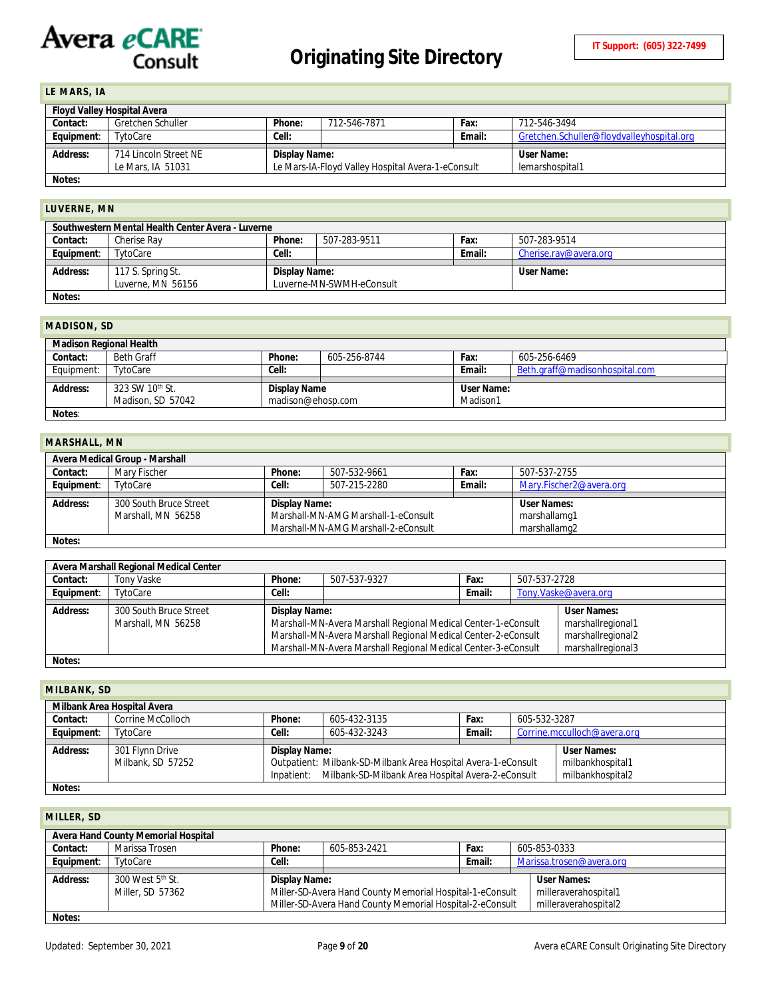## <span id="page-8-0"></span>**LE MARS, IA**

|            | <b>Floyd Valley Hospital Avera</b> |               |                                                   |        |                                           |  |  |
|------------|------------------------------------|---------------|---------------------------------------------------|--------|-------------------------------------------|--|--|
| Contact:   | Gretchen Schuller                  | Phone:        | 712-546-7871                                      | Fax:   | 712-546-3494                              |  |  |
| Equipment: | TytoCare                           | Cell:         |                                                   | Email: | Gretchen.Schuller@floydvalleyhospital.org |  |  |
|            |                                    |               |                                                   |        |                                           |  |  |
|            |                                    |               |                                                   |        |                                           |  |  |
| Address:   | 714 Lincoln Street NE              | Display Name: |                                                   |        | User Name:                                |  |  |
| Notes:     | Le Mars, IA 51031                  |               | Le Mars-IA-Floyd Valley Hospital Avera-1-eConsult |        | lemarshospital1                           |  |  |

#### <span id="page-8-1"></span>**LUVERNE, MN**

| LUVLINIVL, IVIIV                                                                                              |             |        |              |        |                       |  |  |  |
|---------------------------------------------------------------------------------------------------------------|-------------|--------|--------------|--------|-----------------------|--|--|--|
| Southwestern Mental Health Center Avera - Luverne                                                             |             |        |              |        |                       |  |  |  |
| Contact:                                                                                                      | Cherise Ray | Phone: | 507-283-9511 | Fax:   | 507-283-9514          |  |  |  |
| Equipment:                                                                                                    | TytoCare    | Cell:  |              | Email: | Cherise.ray@avera.org |  |  |  |
| Address:<br>117 S. Spring St.<br>User Name:<br>Display Name:<br>Luverne-MN-SWMH-eConsult<br>Luverne, MN 56156 |             |        |              |        |                       |  |  |  |
| Notes:                                                                                                        |             |        |              |        |                       |  |  |  |

#### <span id="page-8-2"></span>**MADISON, SD**

| <b>Madison Regional Health</b> |                   |                   |              |            |                                |  |  |
|--------------------------------|-------------------|-------------------|--------------|------------|--------------------------------|--|--|
| Contact:                       | <b>Beth Graff</b> | Phone:            | 605-256-8744 | Fax:       | 605-256-6469                   |  |  |
| Equipment:                     | TytoCare          | Cell:             |              | Email:     | Beth.graff@madisonhospital.com |  |  |
|                                |                   |                   |              |            |                                |  |  |
| Address:                       | 323 SW 10th St.   | Display Name      |              | User Name: |                                |  |  |
|                                | Madison, SD 57042 | madison@ehosp.com |              | Madison1   |                                |  |  |
| Notes:                         |                   |                   |              |            |                                |  |  |

#### <span id="page-8-3"></span>**MARSHALL, MN**

| Avera Medical Group - Marshall                      |                        |               |                                     |        |                         |  |  |
|-----------------------------------------------------|------------------------|---------------|-------------------------------------|--------|-------------------------|--|--|
| Contact:                                            | Mary Fischer           | Phone:        | 507-532-9661                        | Fax:   | 507-537-2755            |  |  |
| Equipment:                                          | TytoCare               | Cell:         | 507-215-2280                        | Email: | Mary.Fischer2@avera.org |  |  |
|                                                     |                        |               |                                     |        |                         |  |  |
| Address:                                            | 300 South Bruce Street | Display Name: |                                     |        | <b>User Names:</b>      |  |  |
|                                                     | Marshall, MN 56258     |               | Marshall-MN-AMG Marshall-1-eConsult |        | marshallamq1            |  |  |
|                                                     |                        |               |                                     |        |                         |  |  |
| Marshall-MN-AMG Marshall-2-eConsult<br>marshallamg2 |                        |               |                                     |        |                         |  |  |
| Notes:                                              |                        |               |                                     |        |                         |  |  |

| Avera Marshall Regional Medical Center |                        |               |                                                               |        |              |                      |  |
|----------------------------------------|------------------------|---------------|---------------------------------------------------------------|--------|--------------|----------------------|--|
| Contact:                               | Tony Vaske             | Phone:        | 507-537-9327                                                  | Fax:   | 507-537-2728 |                      |  |
| Equipment:                             | TytoCare               | Cell:         |                                                               | Email: |              | Tony.Vaske@avera.org |  |
|                                        |                        |               |                                                               |        |              |                      |  |
| <b>Address:</b>                        | 300 South Bruce Street | Display Name: |                                                               |        |              | <b>User Names:</b>   |  |
|                                        | Marshall, MN 56258     |               | Marshall-MN-Avera Marshall Regional Medical Center-1-eConsult |        |              | marshallregional1    |  |
|                                        |                        |               | Marshall-MN-Avera Marshall Regional Medical Center-2-eConsult |        |              | marshallregional2    |  |
|                                        |                        |               |                                                               |        |              |                      |  |
|                                        |                        |               | Marshall-MN-Avera Marshall Regional Medical Center-3-eConsult |        |              | marshallregional3    |  |
| Notes:                                 |                        |               |                                                               |        |              |                      |  |

### <span id="page-8-4"></span>**MILBANK, SD**

|            | Milbank Area Hospital Avera |               |                                                               |        |              |                             |
|------------|-----------------------------|---------------|---------------------------------------------------------------|--------|--------------|-----------------------------|
| Contact:   | Corrine McColloch           | Phone:        | 605-432-3135                                                  | Fax:   | 605-532-3287 |                             |
| Equipment: | TytoCare                    | Cell:         | 605-432-3243                                                  | Email: |              | Corrine.mcculloch@avera.org |
|            |                             |               |                                                               |        |              |                             |
| Address:   | 301 Flynn Drive             | Display Name: |                                                               |        |              | User Names:                 |
|            | Milbank, SD 57252           |               | Outpatient: Milbank-SD-Milbank Area Hospital Avera-1-eConsult |        |              | milbankhospital1            |
|            |                             |               | Inpatient: Milbank-SD-Milbank Area Hospital Avera-2-eConsult  |        |              | milbankhospital2            |
| Notes:     |                             |               |                                                               |        |              |                             |

## <span id="page-8-5"></span>**MILLER, SD**

| Avera Hand County Memorial Hospital |                                                  |               |                                                                                                                      |        |                                                             |  |  |  |
|-------------------------------------|--------------------------------------------------|---------------|----------------------------------------------------------------------------------------------------------------------|--------|-------------------------------------------------------------|--|--|--|
| Contact:                            | Marissa Trosen                                   | Phone:        | 605-853-2421                                                                                                         | Fax:   | 605-853-0333                                                |  |  |  |
| Equipment:                          | TytoCare                                         | Cell:         |                                                                                                                      | Email: | Marissa.trosen@avera.org                                    |  |  |  |
| Address:                            | 300 West 5 <sup>th</sup> St.<br>Miller, SD 57362 | Display Name: | Miller-SD-Avera Hand County Memorial Hospital-1-eConsult<br>Miller-SD-Avera Hand County Memorial Hospital-2-eConsult |        | User Names:<br>milleraverahospital1<br>milleraverahospital2 |  |  |  |
| Notes:                              |                                                  |               |                                                                                                                      |        |                                                             |  |  |  |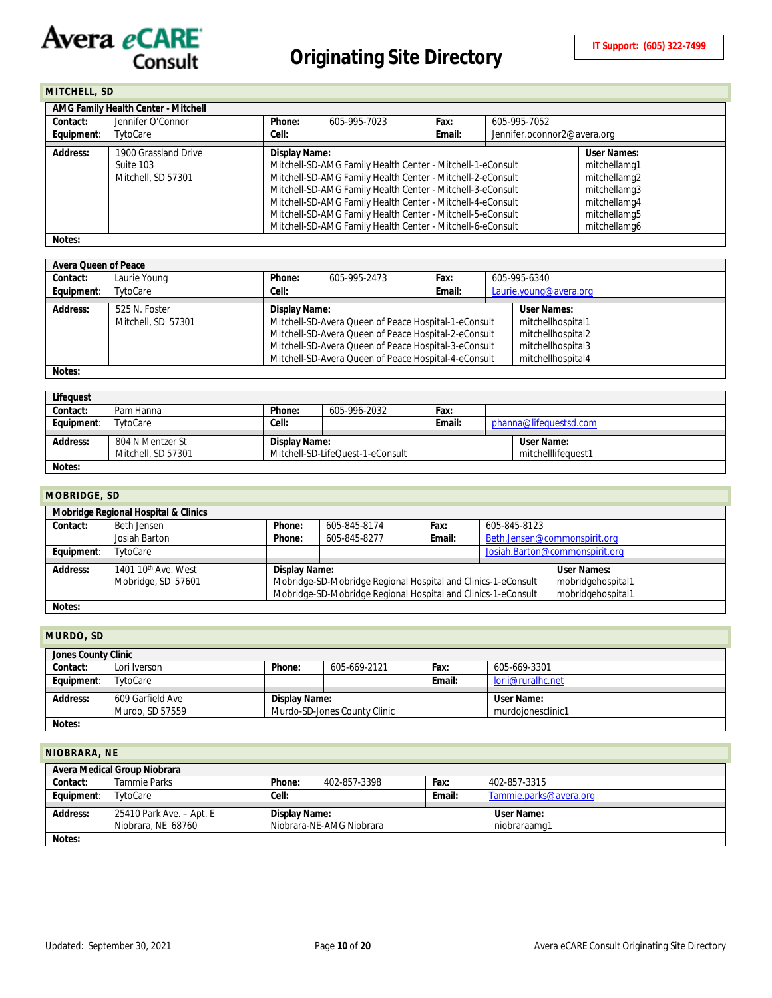<span id="page-9-0"></span>**MITCHELL, SD**

|            | AMG Family Health Center - Mitchell |                                                                                                                   |                                                                                                                                                                                                                                                                                                                    |        |                             |                                                                              |  |  |
|------------|-------------------------------------|-------------------------------------------------------------------------------------------------------------------|--------------------------------------------------------------------------------------------------------------------------------------------------------------------------------------------------------------------------------------------------------------------------------------------------------------------|--------|-----------------------------|------------------------------------------------------------------------------|--|--|
| Contact:   | Jennifer O'Connor                   | 605-995-7023<br>605-995-7052<br>Phone:<br>Fax:                                                                    |                                                                                                                                                                                                                                                                                                                    |        |                             |                                                                              |  |  |
| Equipment: | TytoCare                            | Cell:                                                                                                             |                                                                                                                                                                                                                                                                                                                    | Email: | Jennifer.oconnor2@avera.org |                                                                              |  |  |
| Address:   | 1900 Grassland Drive<br>Suite 103   | <b>User Names:</b><br>Display Name:<br>Mitchell-SD-AMG Family Health Center - Mitchell-1-eConsult<br>mitchellamg1 |                                                                                                                                                                                                                                                                                                                    |        |                             |                                                                              |  |  |
|            | Mitchell, SD 57301                  |                                                                                                                   | Mitchell-SD-AMG Family Health Center - Mitchell-2-eConsult<br>Mitchell-SD-AMG Family Health Center - Mitchell-3-eConsult<br>Mitchell-SD-AMG Family Health Center - Mitchell-4-eConsult<br>Mitchell-SD-AMG Family Health Center - Mitchell-5-eConsult<br>Mitchell-SD-AMG Family Health Center - Mitchell-6-eConsult |        |                             | mitchellamg2<br>mitchellamg3<br>mitchellamg4<br>mitchellamg5<br>mitchellamg6 |  |  |
| Notes:     |                                     |                                                                                                                   |                                                                                                                                                                                                                                                                                                                    |        |                             |                                                                              |  |  |

| Avera Queen of Peace |                    |                                     |                                                      |        |  |                        |  |
|----------------------|--------------------|-------------------------------------|------------------------------------------------------|--------|--|------------------------|--|
| Contact:             | Laurie Young       | Phone:                              | 605-995-2473                                         | Fax:   |  | 605-995-6340           |  |
| Equipment:           | TytoCare           | Cell:                               |                                                      | Email: |  | Laurie.young@avera.org |  |
| Address:             | 525 N. Foster      | <b>User Names:</b><br>Display Name: |                                                      |        |  |                        |  |
|                      | Mitchell, SD 57301 |                                     | Mitchell-SD-Avera Queen of Peace Hospital-1-eConsult |        |  | mitchellhospital1      |  |
|                      |                    |                                     | Mitchell-SD-Avera Queen of Peace Hospital-2-eConsult |        |  | mitchellhospital2      |  |
|                      |                    |                                     | Mitchell-SD-Avera Queen of Peace Hospital-3-eConsult |        |  | mitchellhospital3      |  |
|                      |                    |                                     | Mitchell-SD-Avera Queen of Peace Hospital-4-eConsult |        |  | mitchellhospital4      |  |
| Notes:               |                    |                                     |                                                      |        |  |                        |  |

| Lifequest  |                    |               |                                  |        |                        |
|------------|--------------------|---------------|----------------------------------|--------|------------------------|
| Contact:   | Pam Hanna          | Phone:        | 605-996-2032                     | Fax:   |                        |
| Equipment: | TytoCare           | Cell:         |                                  | Email: | phanna@lifequestsd.com |
|            |                    |               |                                  |        |                        |
| Address:   | 804 N Mentzer St   | Display Name: |                                  |        | User Name:             |
|            | Mitchell, SD 57301 |               | Mitchell-SD-LifeOuest-1-eConsult |        | mitchelllifequest1     |
| Notes:     |                    |               |                                  |        |                        |

#### <span id="page-9-1"></span>**MOBRIDGE, SD**

| 1          |                                                                                                          |               |              |        |              |                                |  |  |
|------------|----------------------------------------------------------------------------------------------------------|---------------|--------------|--------|--------------|--------------------------------|--|--|
|            | Mobridge Regional Hospital & Clinics                                                                     |               |              |        |              |                                |  |  |
| Contact:   | Beth Jensen                                                                                              | Phone:        | 605-845-8174 | Fax:   | 605-845-8123 |                                |  |  |
|            | Josiah Barton                                                                                            | Phone:        | 605-845-8277 | Email: |              | Beth.Jensen@commonspirit.org   |  |  |
| Equipment: | TytoCare                                                                                                 |               |              |        |              | Josiah.Barton@commonspirit.org |  |  |
|            |                                                                                                          |               |              |        |              |                                |  |  |
| Address:   | 1401 10 <sup>th</sup> Ave. West                                                                          | Display Name: |              |        |              | User Names:                    |  |  |
|            | Mobridge-SD-Mobridge Regional Hospital and Clinics-1-eConsult<br>Mobridge, SD 57601<br>mobridgehospital1 |               |              |        |              |                                |  |  |
|            | Mobridge-SD-Mobridge Regional Hospital and Clinics-1-eConsult<br>mobridgehospital1                       |               |              |        |              |                                |  |  |
| Notes:     |                                                                                                          |               |              |        |              |                                |  |  |

# <span id="page-9-2"></span>**MURDO, SD**

| <b>IVIURDU, SU</b> |                                     |               |                              |        |                                 |  |  |  |
|--------------------|-------------------------------------|---------------|------------------------------|--------|---------------------------------|--|--|--|
|                    | Jones County Clinic                 |               |                              |        |                                 |  |  |  |
| Contact:           | Lori Iverson                        | Phone:        | 605-669-2121                 | Fax:   | 605-669-3301                    |  |  |  |
| Equipment:         | TytoCare                            |               |                              | Email: | lorij@ruralhc.net               |  |  |  |
| Address:           | 609 Garfield Ave<br>Murdo, SD 57559 | Display Name: | Murdo-SD-Jones County Clinic |        | User Name:<br>murdoionesclinic1 |  |  |  |
| Notes:             |                                     |               |                              |        |                                 |  |  |  |

#### <span id="page-9-3"></span>**NIOBRARA, NE**

| Avera Medical Group Niobrara                                   |                          |               |              |        |                        |  |  |  |
|----------------------------------------------------------------|--------------------------|---------------|--------------|--------|------------------------|--|--|--|
| Contact:                                                       | Tammie Parks             | Phone:        | 402-857-3398 | Fax:   | 402-857-3315           |  |  |  |
| Equipment:                                                     | TytoCare                 | Cell:         |              | Email: | Tammie.parks@avera.org |  |  |  |
|                                                                |                          |               |              |        |                        |  |  |  |
| Address:                                                       | 25410 Park Ave. – Apt. E | Display Name: |              |        | User Name:             |  |  |  |
| Niobrara, NE 68760<br>Niobrara-NE-AMG Niobrara<br>niobraraamg1 |                          |               |              |        |                        |  |  |  |
| Notes:                                                         |                          |               |              |        |                        |  |  |  |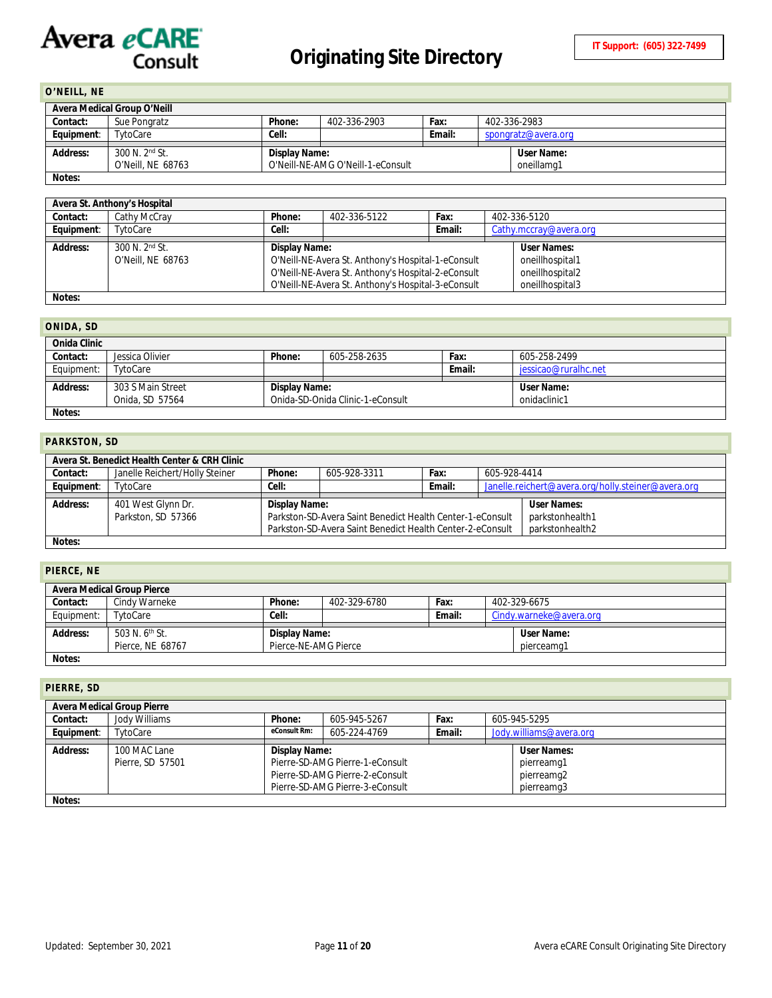# <span id="page-10-0"></span>**O'NEILL, NE**

|            | Avera Medical Group O'Neill |               |                                   |        |                     |
|------------|-----------------------------|---------------|-----------------------------------|--------|---------------------|
| Contact:   | Sue Pongratz                | Phone:        | 402-336-2903                      | Fax:   | 402-336-2983        |
| Equipment: | TytoCare                    | Cell:         |                                   | Email: | spongratz@avera.org |
|            |                             |               |                                   |        |                     |
| Address:   | 300 N. 2 <sup>nd</sup> St.  | Display Name: |                                   |        | User Name:          |
|            | O'Neill, NE 68763           |               | O'Neill-NE-AMG O'Neill-1-eConsult |        | oneillamg1          |
| Notes:     |                             |               |                                   |        |                     |

|            | Avera St. Anthony's Hospital |                              |                                                    |        |                        |  |  |
|------------|------------------------------|------------------------------|----------------------------------------------------|--------|------------------------|--|--|
| Contact:   | Cathy McCray                 | Phone:                       | 402-336-5122                                       | Fax:   | 402-336-5120           |  |  |
| Equipment: | TytoCare                     | Cell:                        |                                                    | Email: | Cathy.mccray@avera.org |  |  |
|            |                              |                              |                                                    |        |                        |  |  |
| Address:   | 300 N. 2 <sup>nd</sup> St.   | User Names:<br>Display Name: |                                                    |        |                        |  |  |
|            | O'Neill, NE 68763            |                              | O'Neill-NE-Avera St. Anthony's Hospital-1-eConsult |        | oneillhospital1        |  |  |
|            |                              |                              | O'Neill-NE-Avera St. Anthony's Hospital-2-eConsult |        | oneillhospital2        |  |  |
|            |                              |                              | O'Neill-NE-Avera St. Anthony's Hospital-3-eConsult |        | oneillhospital3        |  |  |
| Notes:     |                              |                              |                                                    |        |                        |  |  |

## <span id="page-10-1"></span>**ONIDA, SD**

| ----------   |                   |               |                                  |        |                      |
|--------------|-------------------|---------------|----------------------------------|--------|----------------------|
| Onida Clinic |                   |               |                                  |        |                      |
| Contact:     | Jessica Olivier   | Phone:        | 605-258-2635                     | Fax:   | 605-258-2499         |
| Equipment:   | TytoCare          |               |                                  | Email: | iessicao@ruralhc.net |
|              |                   |               |                                  |        |                      |
| Address:     | 303 S Main Street | Display Name: |                                  |        | User Name:           |
|              | Onida, SD 57564   |               | Onida-SD-Onida Clinic-1-eConsult |        | onidaclinic1         |
| Notes:       |                   |               |                                  |        |                      |

#### <span id="page-10-2"></span>**PARKSTON, SD**

|            | Avera St. Benedict Health Center & CRH Clinic |               |                                                                                                                        |        |              |                                                    |  |  |
|------------|-----------------------------------------------|---------------|------------------------------------------------------------------------------------------------------------------------|--------|--------------|----------------------------------------------------|--|--|
| Contact:   | Janelle Reichert/Holly Steiner                | Phone:        | 605-928-3311                                                                                                           | Fax:   | 605-928-4414 |                                                    |  |  |
| Equipment: | TytoCare                                      | Cell:         |                                                                                                                        | Email: |              | Janelle.reichert@avera.org/holly.steiner@avera.org |  |  |
| Address:   | 401 West Glynn Dr.<br>Parkston, SD 57366      | Display Name: | Parkston-SD-Avera Saint Benedict Health Center-1-eConsult<br>Parkston-SD-Avera Saint Benedict Health Center-2-eConsult |        |              | User Names:<br>parkstonhealth1<br>parkstonhealth2  |  |  |
| Notes:     |                                               |               |                                                                                                                        |        |              |                                                    |  |  |

#### <span id="page-10-3"></span>**PIERCE, NE**

|            | <b>Avera Medical Group Pierce</b>              |                                       |              |        |                          |
|------------|------------------------------------------------|---------------------------------------|--------------|--------|--------------------------|
| Contact:   | Cindv Warneke                                  | Phone:                                | 402-329-6780 | Fax:   | 402-329-6675             |
| Equipment: | TytoCare                                       | Cell:                                 |              | Email: | Cindy.warneke@avera.org  |
| Address:   | 503 N. 6 <sup>th</sup> St.<br>Pierce, NE 68767 | Display Name:<br>Pierce-NE-AMG Pierce |              |        | User Name:<br>pierceamg1 |
| Notes:     |                                                |                                       |              |        |                          |

# <span id="page-10-4"></span>**PIERRE, SD**

|            | <b>Avera Medical Group Pierre</b> |               |                                 |      |  |                         |
|------------|-----------------------------------|---------------|---------------------------------|------|--|-------------------------|
| Contact:   | Jody Williams                     | Phone:        | 605-945-5267                    | Fax: |  | 605-945-5295            |
| Equipment: | TytoCare                          | eConsult Rm:  | 605-224-4769<br>Email:          |      |  | Jody.williams@avera.org |
|            |                                   |               |                                 |      |  |                         |
| Address:   | 100 MAC Lane                      | Display Name: |                                 |      |  | <b>User Names:</b>      |
|            | Pierre, SD 57501                  |               | Pierre-SD-AMG Pierre-1-eConsult |      |  | pierreamg1              |
|            |                                   |               | Pierre-SD-AMG Pierre-2-eConsult |      |  | pierreamg2              |
|            |                                   |               | Pierre-SD-AMG Pierre-3-eConsult |      |  | pierreamq3              |
| Notes:     |                                   |               |                                 |      |  |                         |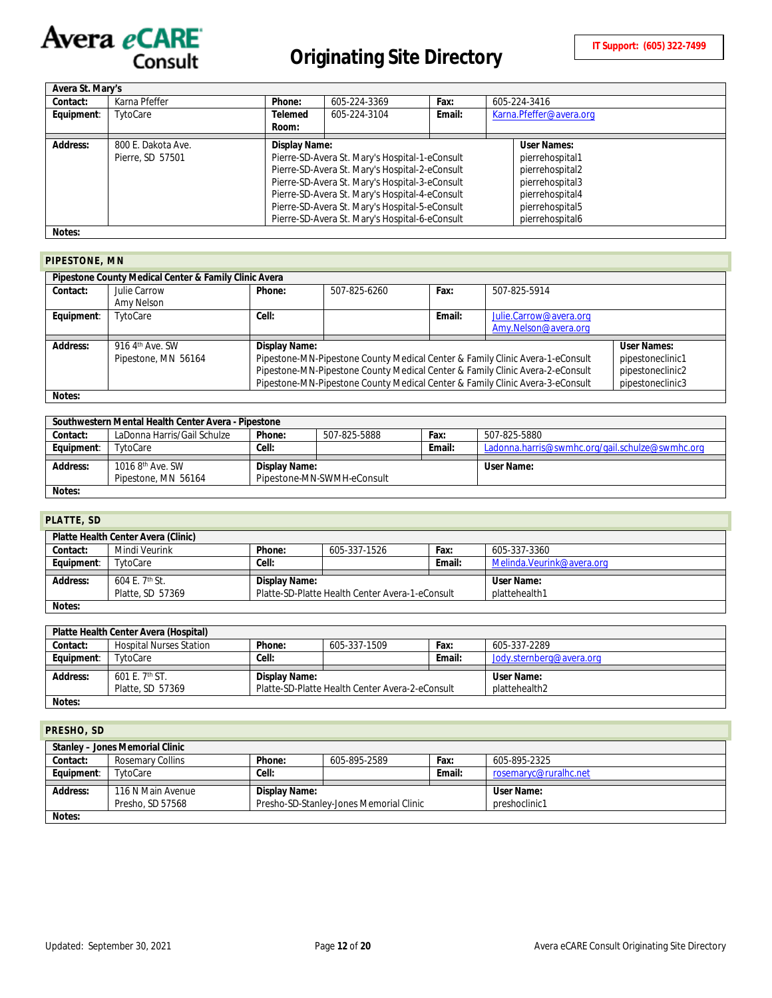

| Avera St. Mary's |                                        |                  |                                                                                                                                                                                                                                                                                                          |        |                                                                                                                               |
|------------------|----------------------------------------|------------------|----------------------------------------------------------------------------------------------------------------------------------------------------------------------------------------------------------------------------------------------------------------------------------------------------------|--------|-------------------------------------------------------------------------------------------------------------------------------|
| Contact:         | Karna Pfeffer                          | Phone:           | 605-224-3369                                                                                                                                                                                                                                                                                             | Fax:   | 605-224-3416                                                                                                                  |
| Equipment:       | TytoCare                               | Telemed<br>Room: | 605-224-3104                                                                                                                                                                                                                                                                                             | Email: | Karna.Pfeffer@avera.org                                                                                                       |
| Address:         | 800 E. Dakota Ave.<br>Pierre, SD 57501 | Display Name:    | Pierre-SD-Avera St. Mary's Hospital-1-eConsult<br>Pierre-SD-Avera St. Mary's Hospital-2-eConsult<br>Pierre-SD-Avera St. Mary's Hospital-3-eConsult<br>Pierre-SD-Avera St. Mary's Hospital-4-eConsult<br>Pierre-SD-Avera St. Mary's Hospital-5-eConsult<br>Pierre-SD-Avera St. Mary's Hospital-6-eConsult |        | User Names:<br>pierrehospital1<br>pierrehospital2<br>pierrehospital3<br>pierrehospital4<br>pierrehospital5<br>pierrehospital6 |
| Notes:           |                                        |                  |                                                                                                                                                                                                                                                                                                          |        |                                                                                                                               |

#### <span id="page-11-0"></span>**PIPESTONE, MN**

|                 | Pipestone County Medical Center & Family Clinic Avera |               |              |        |                                                                               |                  |
|-----------------|-------------------------------------------------------|---------------|--------------|--------|-------------------------------------------------------------------------------|------------------|
| Contact:        | Julie Carrow                                          | Phone:        | 507-825-6260 | Fax:   | 507-825-5914                                                                  |                  |
|                 | Amy Nelson                                            |               |              |        |                                                                               |                  |
| Equipment:      | TytoCare                                              | Cell:         |              | Email: | Julie.Carrow@avera.org                                                        |                  |
|                 |                                                       |               |              |        | Amy.Nelson@avera.org                                                          |                  |
| <b>Address:</b> | 916 4th Ave. SW                                       | Display Name: |              |        |                                                                               | User Names:      |
|                 | Pipestone, MN 56164                                   |               |              |        | Pipestone-MN-Pipestone County Medical Center & Family Clinic Avera-1-eConsult | pipestoneclinic1 |
|                 |                                                       |               |              |        | Pipestone-MN-Pipestone County Medical Center & Family Clinic Avera-2-eConsult | pipestoneclinic2 |
|                 |                                                       |               |              |        | Pipestone-MN-Pipestone County Medical Center & Family Clinic Avera-3-eConsult | pipestoneclinic3 |
| Notes:          |                                                       |               |              |        |                                                                               |                  |

|            | Southwestern Mental Health Center Avera - Pipestone |               |                            |        |                                                 |
|------------|-----------------------------------------------------|---------------|----------------------------|--------|-------------------------------------------------|
| Contact:   | LaDonna Harris/Gail Schulze                         | Phone:        | 507-825-5888               | Fax:   | 507-825-5880                                    |
| Equipment: | TytoCare                                            | Cell:         |                            | Email: | Ladonna.harris@swmhc.org/gail.schulze@swmhc.org |
|            |                                                     |               |                            |        |                                                 |
|            |                                                     |               |                            |        |                                                 |
| Address:   | 1016 8 <sup>th</sup> Ave. SW                        | Display Name: |                            |        | User Name:                                      |
|            | Pipestone, MN 56164                                 |               | Pipestone-MN-SWMH-eConsult |        |                                                 |

# <span id="page-11-1"></span>**PLATTE, SD**

|            | Platte Health Center Avera (Clinic) |               |                                                 |        |                            |
|------------|-------------------------------------|---------------|-------------------------------------------------|--------|----------------------------|
| Contact:   | Mindi Veurink                       | Phone:        | 605-337-1526                                    | Fax:   | 605-337-3360               |
| Equipment: | TytoCare                            | Cell:         |                                                 | Email: | Melinda. Veurink@avera.org |
|            |                                     |               |                                                 |        |                            |
| Address:   | 604 E.7 <sup>th</sup> St.           | Display Name: |                                                 |        | User Name:                 |
|            | Platte, SD 57369                    |               | Platte-SD-Platte Health Center Avera-1-eConsult |        | plattehealth1              |
| Notes:     |                                     |               |                                                 |        |                            |

|            | Platte Health Center Avera (Hospital) |               |                                                 |        |                          |
|------------|---------------------------------------|---------------|-------------------------------------------------|--------|--------------------------|
| Contact:   | <b>Hospital Nurses Station</b>        | Phone:        | 605-337-1509                                    | Fax:   | 605-337-2289             |
| Equipment: | TytoCare                              | Cell:         |                                                 | Email: | Jody.sternberg@avera.org |
|            |                                       |               |                                                 |        |                          |
|            |                                       |               |                                                 |        |                          |
| Address:   | 601 E. $7th$ ST.                      | Display Name: |                                                 |        | User Name:               |
|            |                                       |               |                                                 |        |                          |
|            | Platte, SD 57369                      |               | Platte-SD-Platte Health Center Avera-2-eConsult |        | plattehealth2            |

#### <span id="page-11-2"></span>**PRESHO, SD**

|            | Stanley - Jones Memorial Clinic |               |                                         |        |                       |
|------------|---------------------------------|---------------|-----------------------------------------|--------|-----------------------|
| Contact:   | Rosemary Collins                | Phone:        | 605-895-2589                            | Fax:   | 605-895-2325          |
| Equipment: | TytoCare                        | Cell:         |                                         | Email: | rosemaryc@ruralhc.net |
|            |                                 |               |                                         |        |                       |
|            |                                 |               |                                         |        |                       |
| Address:   | 116 N Main Avenue               | Display Name: |                                         |        | User Name:            |
|            | Presho, SD 57568                |               | Presho-SD-Stanley-Jones Memorial Clinic |        | preshoclinic1         |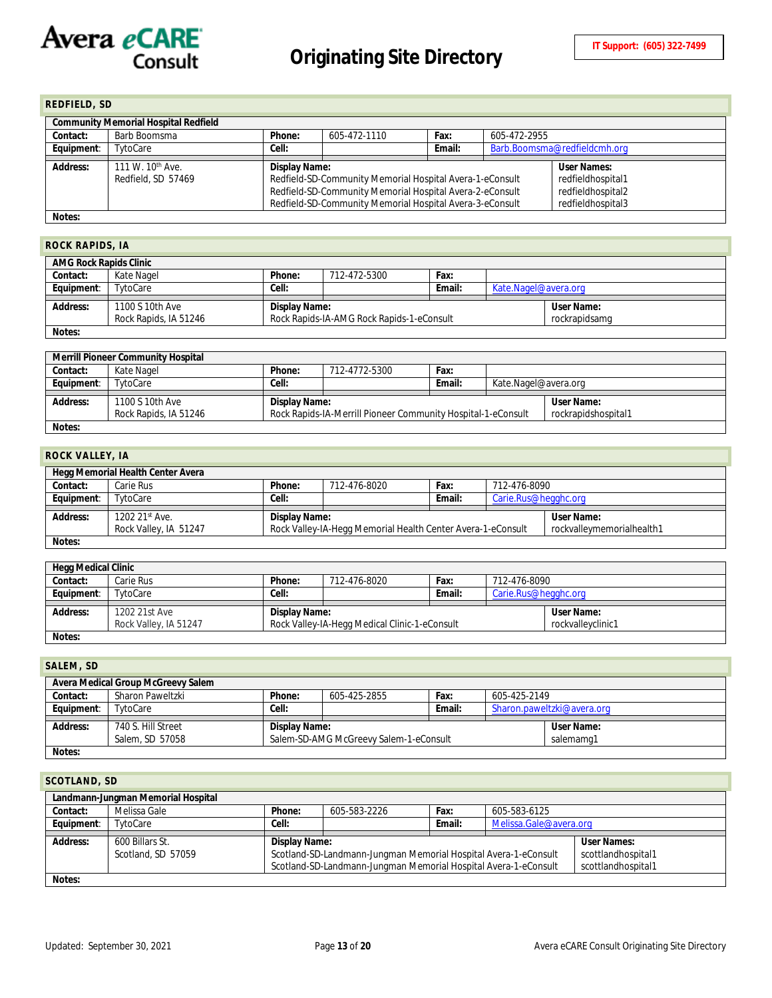<span id="page-12-0"></span>

| <b>REDFIELD, SD</b>                         |                              |                                                |                                                          |        |                              |                   |  |  |
|---------------------------------------------|------------------------------|------------------------------------------------|----------------------------------------------------------|--------|------------------------------|-------------------|--|--|
| <b>Community Memorial Hospital Redfield</b> |                              |                                                |                                                          |        |                              |                   |  |  |
| Contact:                                    | Barb Boomsma                 | Fax:<br>Phone:<br>605-472-1110<br>605-472-2955 |                                                          |        |                              |                   |  |  |
| Equipment:                                  | TytoCare                     | Cell:                                          |                                                          | Email: | Barb.Boomsma@redfieldcmh.org |                   |  |  |
|                                             |                              |                                                |                                                          |        |                              |                   |  |  |
| Address:                                    | 111 W. 10 <sup>th</sup> Ave. | Display Name:                                  |                                                          |        |                              | User Names:       |  |  |
|                                             | Redfield, SD 57469           |                                                | Redfield-SD-Community Memorial Hospital Avera-1-eConsult |        |                              | redfieldhospital1 |  |  |
|                                             |                              |                                                | Redfield-SD-Community Memorial Hospital Avera-2-eConsult |        |                              | redfieldhospital2 |  |  |
|                                             |                              |                                                | Redfield-SD-Community Memorial Hospital Avera-3-eConsult |        |                              | redfieldhospital3 |  |  |
| Notes:                                      |                              |                                                |                                                          |        |                              |                   |  |  |

#### <span id="page-12-1"></span>**ROCK RAPIDS, IA**

| <b>AMG Rock Rapids Clinic</b> |                       |                                                            |              |        |                      |            |  |
|-------------------------------|-----------------------|------------------------------------------------------------|--------------|--------|----------------------|------------|--|
| Contact:                      | Kate Nagel            | Phone:                                                     | 712-472-5300 | Fax:   |                      |            |  |
| Equipment:                    | TytoCare              | Cell:                                                      |              | Email: | Kate.Nagel@avera.org |            |  |
|                               |                       |                                                            |              |        |                      |            |  |
| Address:                      | 1100 S 10th Ave       | Display Name:                                              |              |        |                      | User Name: |  |
|                               | Rock Rapids, IA 51246 | Rock Rapids-IA-AMG Rock Rapids-1-eConsult<br>rockrapidsamg |              |        |                      |            |  |
| Notes:                        |                       |                                                            |              |        |                      |            |  |

| <b>Merrill Pioneer Community Hospital</b> |                       |               |                                                              |        |                      |                     |  |
|-------------------------------------------|-----------------------|---------------|--------------------------------------------------------------|--------|----------------------|---------------------|--|
| Contact:                                  | Kate Nagel            | Phone:        | 712-4772-5300                                                | Fax:   |                      |                     |  |
| Equipment:                                | TytoCare              | Cell:         |                                                              | Email: | Kate.Nagel@avera.org |                     |  |
|                                           |                       |               |                                                              |        |                      |                     |  |
|                                           |                       |               |                                                              |        |                      |                     |  |
| Address:                                  | 1100 S 10th Ave       | Display Name: |                                                              |        |                      | User Name:          |  |
|                                           | Rock Rapids, IA 51246 |               | Rock Rapids-IA-Merrill Pioneer Community Hospital-1-eConsult |        |                      | rockrapidshospital1 |  |

# <span id="page-12-2"></span>**ROCK VALLEY, IA**

| Hegg Memorial Health Center Avera |                                                             |                                                                                          |  |        |                      |            |  |  |
|-----------------------------------|-------------------------------------------------------------|------------------------------------------------------------------------------------------|--|--------|----------------------|------------|--|--|
| Contact:                          | 712-476-8020<br>Phone:<br>712-476-8090<br>Carie Rus<br>Fax: |                                                                                          |  |        |                      |            |  |  |
| Equipment:                        | TytoCare                                                    | Cell:                                                                                    |  | Email: | Carie.Rus@hegghc.org |            |  |  |
|                                   |                                                             |                                                                                          |  |        |                      |            |  |  |
| Address:                          | 1202 21st Ave.                                              | Display Name:                                                                            |  |        |                      | User Name: |  |  |
|                                   | Rock Valley, IA 51247                                       | Rock Valley-IA-Hegg Memorial Health Center Avera-1-eConsult<br>rockvalleymemorialhealth1 |  |        |                      |            |  |  |
| Notes:                            |                                                             |                                                                                          |  |        |                      |            |  |  |

| <b>Hegg Medical Clinic</b> |                       |               |                                               |            |                      |  |  |
|----------------------------|-----------------------|---------------|-----------------------------------------------|------------|----------------------|--|--|
| Contact:                   | Carie Rus             | Phone:        | 712-476-8020                                  | Fax:       | 712-476-8090         |  |  |
| Equipment:                 | TytoCare              | Cell:         |                                               | Email:     | Carie.Rus@hegghc.org |  |  |
|                            |                       |               |                                               |            |                      |  |  |
| Address:                   | 1202 21st Ave         | Display Name: |                                               | User Name: |                      |  |  |
|                            | Rock Valley, IA 51247 |               | Rock Valley-IA-Hegg Medical Clinic-1-eConsult |            | rockvallevclinic1    |  |  |
| Notes:                     |                       |               |                                               |            |                      |  |  |

<span id="page-12-3"></span>

| SALEM, SD  |                                                                                                                             |        |              |      |              |  |  |
|------------|-----------------------------------------------------------------------------------------------------------------------------|--------|--------------|------|--------------|--|--|
|            | Avera Medical Group McGreevy Salem                                                                                          |        |              |      |              |  |  |
| Contact:   | Sharon Paweltzki                                                                                                            | Phone: | 605-425-2855 | Fax: | 605-425-2149 |  |  |
| Equipment: | Email:<br>Sharon.paweltzki@avera.org<br>Cell:<br>TytoCare                                                                   |        |              |      |              |  |  |
| Address:   | 740 S. Hill Street<br>User Name:<br>Display Name:<br>Salem-SD-AMG McGreevy Salem-1-eConsult<br>Salem, SD 57058<br>salemamg1 |        |              |      |              |  |  |
| Notes:     |                                                                                                                             |        |              |      |              |  |  |

#### <span id="page-12-4"></span>**SCOTLAND, SD**

| Landmann-Jungman Memorial Hospital |                    |                                                                                       |                                                                 |        |                        |                    |  |  |
|------------------------------------|--------------------|---------------------------------------------------------------------------------------|-----------------------------------------------------------------|--------|------------------------|--------------------|--|--|
| Contact:                           | Melissa Gale       | Phone:                                                                                | 605-583-2226                                                    | Fax:   | 605-583-6125           |                    |  |  |
| Equipment:                         | TytoCare           | Cell:                                                                                 |                                                                 | Email: | Melissa.Gale@avera.org |                    |  |  |
|                                    |                    |                                                                                       |                                                                 |        |                        |                    |  |  |
| Address:                           | 600 Billars St.    |                                                                                       | User Names:<br>Display Name:                                    |        |                        |                    |  |  |
|                                    | Scotland, SD 57059 |                                                                                       | Scotland-SD-Landmann-Jungman Memorial Hospital Avera-1-eConsult |        |                        | scottlandhospital1 |  |  |
|                                    |                    | Scotland-SD-Landmann-Jungman Memorial Hospital Avera-1-eConsult<br>scottlandhospital1 |                                                                 |        |                        |                    |  |  |
| Notes:                             |                    |                                                                                       |                                                                 |        |                        |                    |  |  |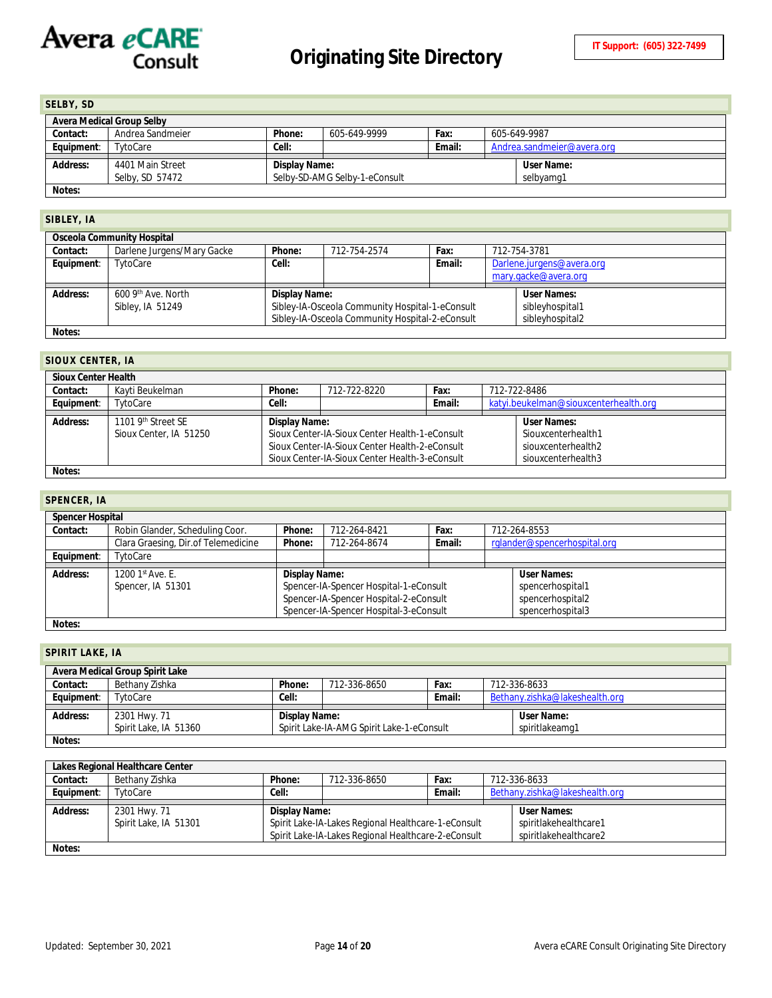<span id="page-13-0"></span>

| SELBY, SD                 |                                     |               |                               |        |              |                            |  |
|---------------------------|-------------------------------------|---------------|-------------------------------|--------|--------------|----------------------------|--|
| Avera Medical Group Selby |                                     |               |                               |        |              |                            |  |
| Contact:                  | Andrea Sandmeier                    | Phone:        | 605-649-9999                  | Fax:   | 605-649-9987 |                            |  |
| Equipment:                | TytoCare                            | Cell:         |                               | Email: |              | Andrea.sandmeier@avera.org |  |
| Address:                  | 4401 Main Street<br>Selby, SD 57472 | Display Name: | Selby-SD-AMG Selby-1-eConsult |        |              | User Name:<br>selbyamg1    |  |
| Notes:                    |                                     |               |                               |        |              |                            |  |

#### <span id="page-13-1"></span>**SIBLEY, IA**

|            | Osceola Community Hospital |               |                                                 |        |  |                           |  |  |
|------------|----------------------------|---------------|-------------------------------------------------|--------|--|---------------------------|--|--|
| Contact:   | Darlene Jurgens/Mary Gacke | Phone:        | 712-754-2574                                    | Fax:   |  | 712-754-3781              |  |  |
| Equipment: | TytoCare                   | Cell:         |                                                 | Email: |  | Darlene.jurgens@avera.org |  |  |
|            |                            |               |                                                 |        |  | mary.gacke@avera.org      |  |  |
|            |                            |               |                                                 |        |  |                           |  |  |
|            |                            |               |                                                 |        |  |                           |  |  |
| Address:   | 600 9th Ave. North         | Display Name: |                                                 |        |  | User Names:               |  |  |
|            | Sibley, IA 51249           |               | Sibley-IA-Osceola Community Hospital-1-eConsult |        |  | sibleyhospital1           |  |  |
|            |                            |               | Sibley-IA-Osceola Community Hospital-2-eConsult |        |  | sibleyhospital2           |  |  |

### <span id="page-13-2"></span>**SIOUX CENTER, IA**

| <b>Sioux Center Health</b> |                                |                                                |                                                |        |                                       |                    |  |  |
|----------------------------|--------------------------------|------------------------------------------------|------------------------------------------------|--------|---------------------------------------|--------------------|--|--|
| Contact:                   | Kavti Beukelman                | Phone:<br>712-722-8220<br>Fax:<br>712-722-8486 |                                                |        |                                       |                    |  |  |
| Equipment:                 | TytoCare                       | Cell:                                          |                                                | Email: | katyi.beukelman@siouxcenterhealth.org |                    |  |  |
|                            |                                |                                                |                                                |        |                                       |                    |  |  |
| Address:                   | 1101 9 <sup>th</sup> Street SE | Display Name:                                  |                                                |        |                                       | User Names:        |  |  |
|                            | Sioux Center, IA 51250         |                                                | Sioux Center-IA-Sioux Center Health-1-eConsult |        |                                       | Siouxcenterhealth1 |  |  |
|                            |                                |                                                | Sioux Center-IA-Sioux Center Health-2-eConsult |        |                                       | siouxcenterhealth2 |  |  |
|                            |                                |                                                | Sioux Center-IA-Sioux Center Health-3-eConsult |        | siouxcenterhealth3                    |                    |  |  |
| Notes:                     |                                |                                                |                                                |        |                                       |                    |  |  |

### <span id="page-13-3"></span>**SPENCER, IA**

|                 | <b>Spencer Hospital</b>             |               |                                                                                                                            |        |                                                          |  |  |  |
|-----------------|-------------------------------------|---------------|----------------------------------------------------------------------------------------------------------------------------|--------|----------------------------------------------------------|--|--|--|
| Contact:        | Robin Glander, Scheduling Coor.     | Phone:        | 712-264-8421                                                                                                               | Fax:   | 712-264-8553                                             |  |  |  |
|                 | Clara Graesing, Dir.of Telemedicine | Phone:        | 712-264-8674                                                                                                               | Email: | rglander@spencerhospital.org                             |  |  |  |
| Equipment:      | TytoCare                            |               |                                                                                                                            |        |                                                          |  |  |  |
| <b>Address:</b> | 1200 1st Ave. E.                    | Display Name: |                                                                                                                            |        | User Names:                                              |  |  |  |
|                 | Spencer, IA 51301                   |               | Spencer-IA-Spencer Hospital-1-eConsult<br>Spencer-IA-Spencer Hospital-2-eConsult<br>Spencer-IA-Spencer Hospital-3-eConsult |        | spencerhospital1<br>spencerhospital2<br>spencerhospital3 |  |  |  |

### <span id="page-13-4"></span>**SPIRIT LAKE, IA**

| Avera Medical Group Spirit Lake |                       |               |                                           |        |                                |  |  |  |
|---------------------------------|-----------------------|---------------|-------------------------------------------|--------|--------------------------------|--|--|--|
| Contact:                        | Bethany Zishka        | Phone:        | 712-336-8650                              | Fax:   | 712-336-8633                   |  |  |  |
| Equipment:                      | TytoCare              | Cell:         |                                           | Email: | Bethany.zishka@lakeshealth.org |  |  |  |
|                                 |                       |               |                                           |        |                                |  |  |  |
| Address:                        | 2301 Hwy. 71          | Display Name: |                                           |        | User Name:                     |  |  |  |
|                                 | Spirit Lake, IA 51360 |               | Spirit Lake-IA-AMG Spirit Lake-1-eConsult |        | spiritlakeamg1                 |  |  |  |
| Notes:                          |                       |               |                                           |        |                                |  |  |  |

**Lakes Regional Healthcare Center Contact:** Bethany Zishka **Phone:** 712-336-8650 **Fax:** 712-336-8633 **Equipment**: TytoCare **Cell: Cell: Cell: Cell: Email:** [Bethany.zishka@lakeshealth.org](mailto:Bethany.zishka@lakeshealth.org) **Address:** 2301 Hwy. 71 Spirit Lake, IA 51301 **Display Name:** Spirit Lake-IA-Lakes Regional Healthcare-1-eConsult Spirit Lake-IA-Lakes Regional Healthcare-2-eConsult **User Names:** spiritlakehealthcare1 spiritlakehealthcare2 **Notes:**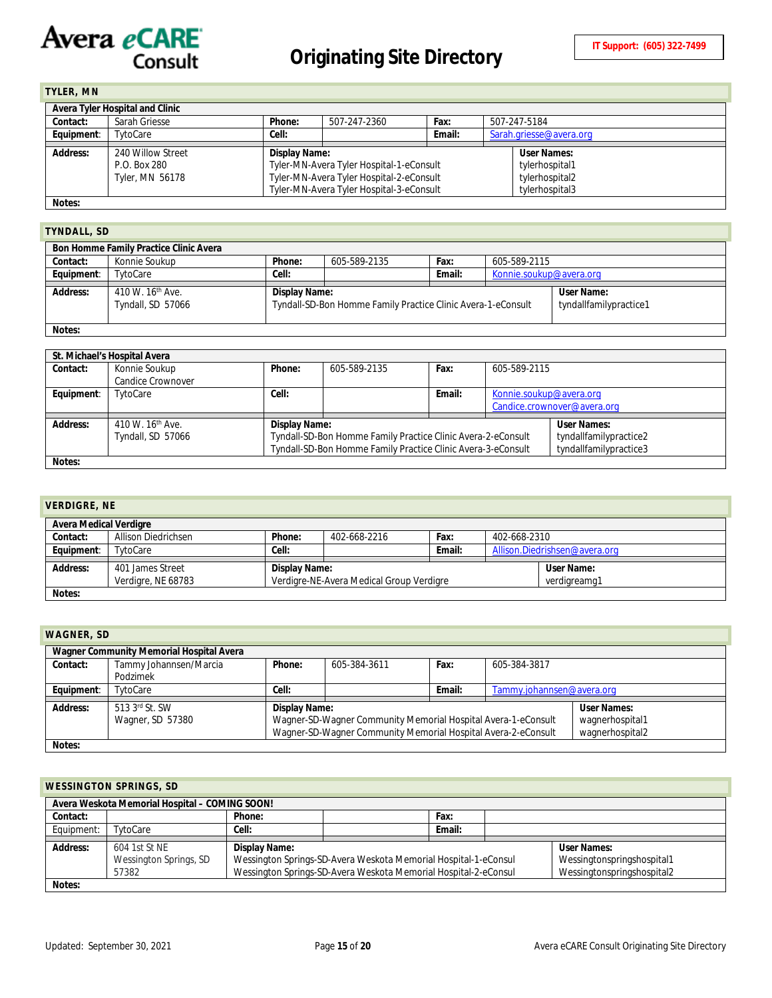# Avera eCARE

<span id="page-14-0"></span>

| TYLER, MN                       |                   |               |                                          |        |                         |                |  |
|---------------------------------|-------------------|---------------|------------------------------------------|--------|-------------------------|----------------|--|
| Avera Tyler Hospital and Clinic |                   |               |                                          |        |                         |                |  |
| Contact:                        | Sarah Griesse     | Phone:        | 507-247-2360                             | Fax:   | 507-247-5184            |                |  |
| Equipment:                      | TytoCare          | Cell:         |                                          | Email: | Sarah.griesse@avera.org |                |  |
|                                 |                   |               |                                          |        |                         |                |  |
| Address:                        | 240 Willow Street | Display Name: |                                          |        |                         | User Names:    |  |
|                                 | P.O. Box 280      |               | Tyler-MN-Avera Tyler Hospital-1-eConsult |        |                         | tylerhospital1 |  |
|                                 | Tyler, MN 56178   |               | Tyler-MN-Avera Tyler Hospital-2-eConsult |        |                         | tylerhospital2 |  |
|                                 |                   |               | Tyler-MN-Avera Tyler Hospital-3-eConsult |        |                         | tylerhospital3 |  |
| Notes:                          |                   |               |                                          |        |                         |                |  |

#### <span id="page-14-1"></span>**TYNDALL, SD**

| Bon Homme Family Practice Clinic Avera |                                                   |               |                                                              |        |                         |                                      |  |  |
|----------------------------------------|---------------------------------------------------|---------------|--------------------------------------------------------------|--------|-------------------------|--------------------------------------|--|--|
| Contact:                               | Konnie Soukup                                     | Phone:        | 605-589-2135                                                 | Fax:   | 605-589-2115            |                                      |  |  |
| Equipment:                             | TytoCare                                          | Cell:         |                                                              | Email: | Konnie.soukup@avera.org |                                      |  |  |
| Address:                               | 410 W. 16 <sup>th</sup> Ave.<br>Tyndall, SD 57066 | Display Name: | Tyndall-SD-Bon Homme Family Practice Clinic Avera-1-eConsult |        |                         | User Name:<br>tyndallfamilypractice1 |  |  |
|                                        |                                                   |               |                                                              |        |                         |                                      |  |  |

|            | St. Michael's Hospital Avera                      |                                                                                                                                                                                                                  |              |        |                         |                             |  |  |
|------------|---------------------------------------------------|------------------------------------------------------------------------------------------------------------------------------------------------------------------------------------------------------------------|--------------|--------|-------------------------|-----------------------------|--|--|
| Contact:   | Konnie Soukup                                     | Phone:                                                                                                                                                                                                           | 605-589-2135 | Fax:   | 605-589-2115            |                             |  |  |
|            | <b>Candice Crownover</b>                          |                                                                                                                                                                                                                  |              |        |                         |                             |  |  |
| Equipment: | TytoCare                                          | Cell:                                                                                                                                                                                                            |              | Email: | Konnie.soukup@avera.org |                             |  |  |
|            |                                                   |                                                                                                                                                                                                                  |              |        |                         | Candice.crownover@avera.org |  |  |
| Address:   | 410 W. 16 <sup>th</sup> Ave.<br>Tyndall, SD 57066 | User Names:<br>Display Name:<br>Tyndall-SD-Bon Homme Family Practice Clinic Avera-2-eConsult<br>tyndallfamilypractice2<br>Tyndall-SD-Bon Homme Family Practice Clinic Avera-3-eConsult<br>tyndallfamilypractice3 |              |        |                         |                             |  |  |
| Notes:     |                                                   |                                                                                                                                                                                                                  |              |        |                         |                             |  |  |

<span id="page-14-2"></span>

| <b>VERDIGRE, NE</b>           |                                        |                                                           |                            |        |              |                               |  |
|-------------------------------|----------------------------------------|-----------------------------------------------------------|----------------------------|--------|--------------|-------------------------------|--|
| <b>Avera Medical Verdigre</b> |                                        |                                                           |                            |        |              |                               |  |
| Contact:                      | <b>Allison Diedrichsen</b>             | Phone:                                                    | 402-668-2216               | Fax:   | 402-668-2310 |                               |  |
| Equipment:                    | TytoCare                               | Cell:                                                     |                            | Email: |              | Allison.Diedrishsen@avera.org |  |
| Address:                      | 401 James Street<br>Verdigre, NE 68783 | Display Name:<br>Verdigre-NE-Avera Medical Group Verdigre | User Name:<br>verdigreamg1 |        |              |                               |  |
| Notes:                        |                                        |                                                           |                            |        |              |                               |  |

<span id="page-14-3"></span>

| <b>WAGNER, SD</b> |                                          |                                                                                                                                                                                                             |              |        |                           |  |  |  |
|-------------------|------------------------------------------|-------------------------------------------------------------------------------------------------------------------------------------------------------------------------------------------------------------|--------------|--------|---------------------------|--|--|--|
|                   | Wagner Community Memorial Hospital Avera |                                                                                                                                                                                                             |              |        |                           |  |  |  |
| Contact:          | Tammy Johannsen/Marcia                   | Phone:                                                                                                                                                                                                      | 605-384-3611 | Fax:   | 605-384-3817              |  |  |  |
|                   | Podzimek                                 |                                                                                                                                                                                                             |              |        |                           |  |  |  |
| Equipment:        | TytoCare                                 | Cell:                                                                                                                                                                                                       |              | Email: | Tammy.johannsen@avera.org |  |  |  |
| Address:          | 513 3rd St. SW<br>Wagner, SD 57380       | <b>User Names:</b><br>Display Name:<br>Wagner-SD-Wagner Community Memorial Hospital Avera-1-eConsult<br>wagnerhospital1<br>Wagner-SD-Wagner Community Memorial Hospital Avera-2-eConsult<br>wagnerhospital2 |              |        |                           |  |  |  |
| Notes:            |                                          |                                                                                                                                                                                                             |              |        |                           |  |  |  |

### <span id="page-14-4"></span>**WESSINGTON SPRINGS, SD**

| Avera Weskota Memorial Hospital - COMING SOON! |                        |                                                                                               |                                                                                               |        |  |             |  |  |
|------------------------------------------------|------------------------|-----------------------------------------------------------------------------------------------|-----------------------------------------------------------------------------------------------|--------|--|-------------|--|--|
| Contact:                                       |                        | Phone:                                                                                        |                                                                                               | Fax:   |  |             |  |  |
| Equipment:                                     | TytoCare               | Cell:                                                                                         |                                                                                               | Email: |  |             |  |  |
|                                                |                        |                                                                                               |                                                                                               |        |  |             |  |  |
| Address:                                       | 604 1st St NE          | Display Name:                                                                                 |                                                                                               |        |  | User Names: |  |  |
|                                                | Wessington Springs, SD |                                                                                               | Wessington Springs-SD-Avera Weskota Memorial Hospital-1-eConsul<br>Wessingtonspringshospital1 |        |  |             |  |  |
|                                                | 57382                  | Wessington Springs-SD-Avera Weskota Memorial Hospital-2-eConsul<br>Wessingtonspringshospital2 |                                                                                               |        |  |             |  |  |
| Notes:                                         |                        |                                                                                               |                                                                                               |        |  |             |  |  |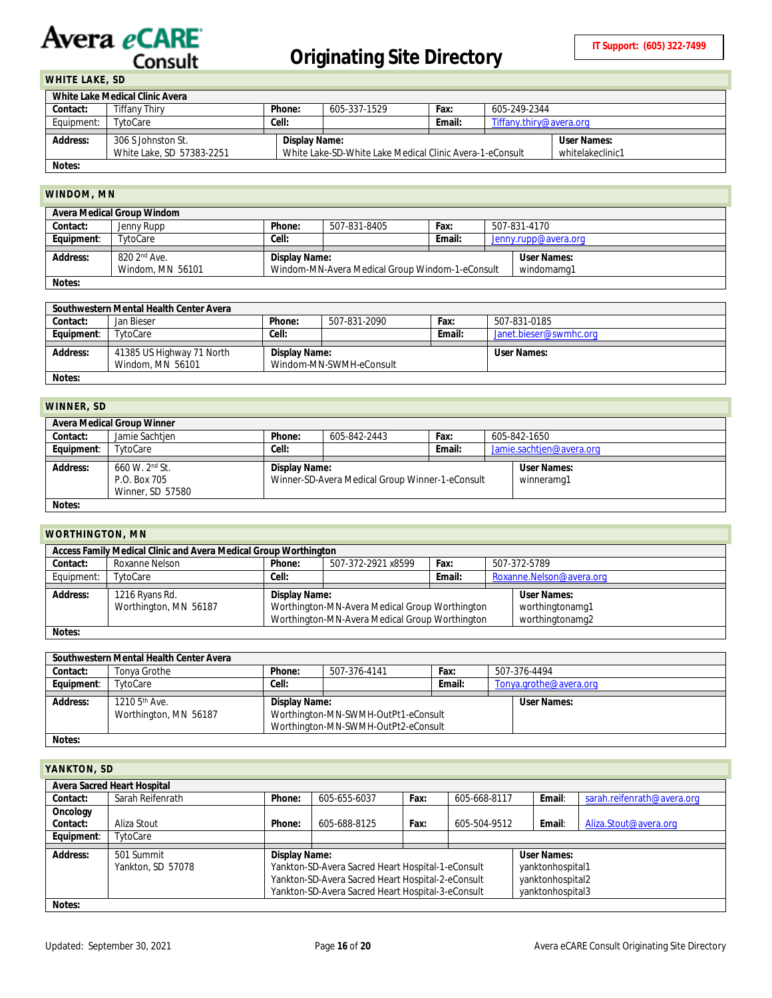# <span id="page-15-0"></span>**WHITE LAKE, SD**

| White Lake Medical Clinic Avera |                           |               |                                                                              |             |                         |  |  |
|---------------------------------|---------------------------|---------------|------------------------------------------------------------------------------|-------------|-------------------------|--|--|
| Contact:                        | Tiffany Thiry             | Phone:        | 605-337-1529                                                                 | Fax:        | 605-249-2344            |  |  |
| Equipment:                      | TytoCare                  | Cell:         |                                                                              | Email:      | Tiffany.thiry@avera.org |  |  |
|                                 |                           |               |                                                                              |             |                         |  |  |
| Address:                        | 306 S Johnston St.        | Display Name: |                                                                              | User Names: |                         |  |  |
|                                 | White Lake, SD 57383-2251 |               | White Lake-SD-White Lake Medical Clinic Avera-1-eConsult<br>whitelakeclinic1 |             |                         |  |  |
|                                 |                           |               |                                                                              |             |                         |  |  |

# <span id="page-15-1"></span>**WINDOM, MN**

| Avera Medical Group Windom |                          |                                                               |              |                    |  |                      |  |  |
|----------------------------|--------------------------|---------------------------------------------------------------|--------------|--------------------|--|----------------------|--|--|
| Contact:                   | Jenny Rupp               | Phone:                                                        | 507-831-8405 | Fax:               |  | 507-831-4170         |  |  |
| Equipment:                 | TvtoCare                 | Cell:                                                         |              | Email:             |  | Jenny.rupp@avera.org |  |  |
|                            |                          |                                                               |              |                    |  |                      |  |  |
| Address:                   | 820 2 <sup>nd</sup> Ave. | Display Name:                                                 |              | <b>User Names:</b> |  |                      |  |  |
|                            | Windom, MN 56101         | Windom-MN-Avera Medical Group Windom-1-eConsult<br>windomamg1 |              |                    |  |                      |  |  |
| Notes:                     |                          |                                                               |              |                    |  |                      |  |  |

| Southwestern Mental Health Center Avera |                           |               |                         |        |                        |  |  |  |
|-----------------------------------------|---------------------------|---------------|-------------------------|--------|------------------------|--|--|--|
| Contact:                                | Jan Bieser                | Phone:        | 507-831-2090            | Fax:   | 507-831-0185           |  |  |  |
| Equipment:                              | TytoCare                  | Cell:         |                         | Email: | Janet.bieser@swmhc.org |  |  |  |
|                                         |                           |               |                         |        |                        |  |  |  |
|                                         |                           |               |                         |        |                        |  |  |  |
| Address:                                | 41385 US Highway 71 North | Display Name: |                         |        | User Names:            |  |  |  |
|                                         | Windom, MN 56101          |               | Windom-MN-SWMH-eConsult |        |                        |  |  |  |

#### <span id="page-15-2"></span>**WINNER, SD**

| V               |                            |               |                                                 |             |  |                          |  |
|-----------------|----------------------------|---------------|-------------------------------------------------|-------------|--|--------------------------|--|
|                 | Avera Medical Group Winner |               |                                                 |             |  |                          |  |
| Contact:        | Jamie Sachtjen             | Phone:        | 605-842-2443                                    | Fax:        |  | 605-842-1650             |  |
| Equipment:      | TytoCare                   | Cell:         |                                                 | Email:      |  | Jamie.sachtjen@avera.org |  |
|                 |                            |               |                                                 |             |  |                          |  |
| <b>Address:</b> | $660 \,$ W, $2^{nd}$ St.   | Display Name: |                                                 | User Names: |  |                          |  |
|                 | P.O. Box 705               |               | Winner-SD-Avera Medical Group Winner-1-eConsult |             |  | winneramg1               |  |
|                 | Winner, SD 57580           |               |                                                 |             |  |                          |  |
| Notes:          |                            |               |                                                 |             |  |                          |  |

## <span id="page-15-3"></span>**WORTHINGTON, MN**

| Access Family Medical Clinic and Avera Medical Group Worthington |                       |               |                                                |        |  |                          |  |
|------------------------------------------------------------------|-----------------------|---------------|------------------------------------------------|--------|--|--------------------------|--|
| Contact:                                                         | Roxanne Nelson        | Phone:        | 507-372-2921 x8599                             | Fax:   |  | 507-372-5789             |  |
| Equipment:                                                       | TytoCare              | Cell:         |                                                | Email: |  | Roxanne.Nelson@avera.org |  |
|                                                                  |                       |               |                                                |        |  |                          |  |
|                                                                  |                       | Display Name: |                                                |        |  |                          |  |
| <b>Address:</b>                                                  | 1216 Ryans Rd.        |               |                                                |        |  | User Names:              |  |
|                                                                  | Worthington, MN 56187 |               | Worthington-MN-Avera Medical Group Worthington |        |  | worthingtonamg1          |  |
|                                                                  |                       |               | Worthington-MN-Avera Medical Group Worthington |        |  | worthingtonamg2          |  |

|            | Southwestern Mental Health Center Avera |                                     |                                     |        |                        |  |  |  |
|------------|-----------------------------------------|-------------------------------------|-------------------------------------|--------|------------------------|--|--|--|
| Contact:   | Tonya Grothe                            | Phone:                              | 507-376-4141                        | Fax:   | 507-376-4494           |  |  |  |
| Equipment: | TytoCare                                | Cell:                               |                                     | Email: | Tonya.grothe@avera.org |  |  |  |
|            |                                         |                                     |                                     |        |                        |  |  |  |
| Address:   | 1210 $5^{\text{th}}$ Ave.               | Display Name:                       |                                     |        | User Names:            |  |  |  |
|            | Worthington, MN 56187                   |                                     | Worthington-MN-SWMH-OutPt1-eConsult |        |                        |  |  |  |
|            |                                         | Worthington-MN-SWMH-OutPt2-eConsult |                                     |        |                        |  |  |  |
| Notes:     |                                         |                                     |                                     |        |                        |  |  |  |

<span id="page-15-4"></span>

| YANKTON, SD |                                    |               |                                                                                                                                                             |      |              |                                                                         |                            |
|-------------|------------------------------------|---------------|-------------------------------------------------------------------------------------------------------------------------------------------------------------|------|--------------|-------------------------------------------------------------------------|----------------------------|
|             | <b>Avera Sacred Heart Hospital</b> |               |                                                                                                                                                             |      |              |                                                                         |                            |
| Contact:    | Sarah Reifenrath                   | Phone:        | 605-655-6037                                                                                                                                                | Fax: | 605-668-8117 | Email:                                                                  | sarah.reifenrath@avera.org |
| Oncology    |                                    |               |                                                                                                                                                             |      |              |                                                                         |                            |
| Contact:    | Aliza Stout                        | Phone:        | 605-688-8125                                                                                                                                                | Fax: | 605-504-9512 | Email:                                                                  | Aliza.Stout@avera.org      |
| Equipment:  | TytoCare                           |               |                                                                                                                                                             |      |              |                                                                         |                            |
| Address:    | 501 Summit<br>Yankton, SD 57078    | Display Name: | Yankton-SD-Avera Sacred Heart Hospital-1-eConsult<br>Yankton-SD-Avera Sacred Heart Hospital-2-eConsult<br>Yankton-SD-Avera Sacred Heart Hospital-3-eConsult |      |              | User Names:<br>yanktonhospital1<br>yanktonhospital2<br>yanktonhospital3 |                            |
| Notes:      |                                    |               |                                                                                                                                                             |      |              |                                                                         |                            |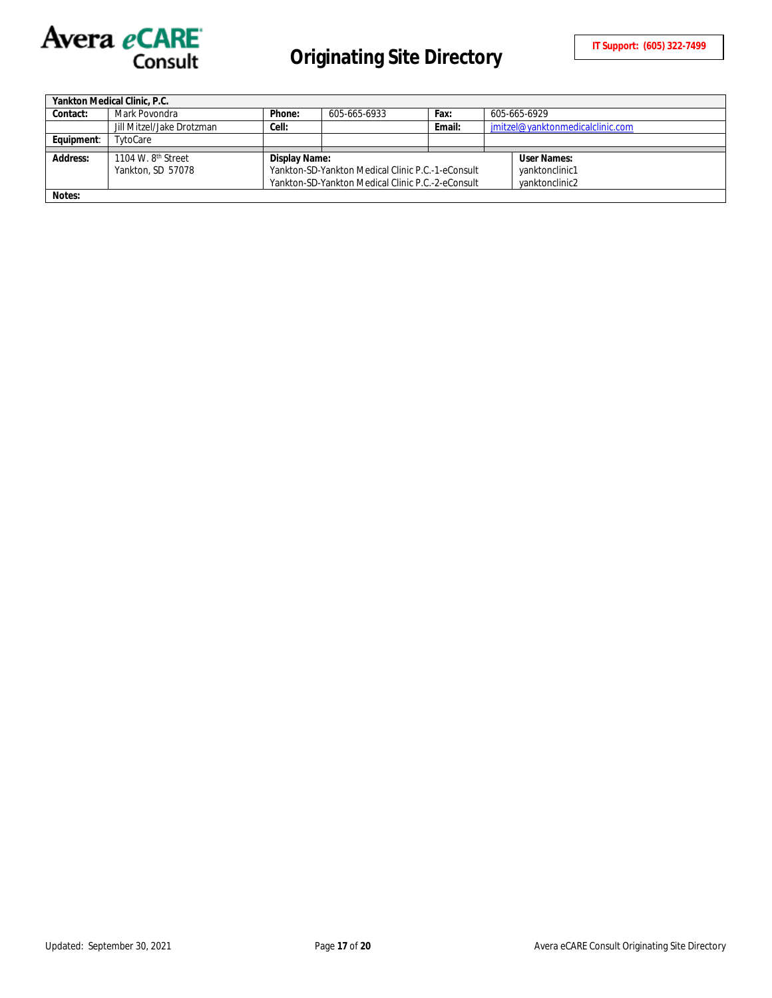

|                 | Yankton Medical Clinic, P.C.   |               |                                                   |        |                                  |
|-----------------|--------------------------------|---------------|---------------------------------------------------|--------|----------------------------------|
| Contact:        | Mark Povondra                  | Phone:        | 605-665-6933                                      | Fax:   | 605-665-6929                     |
|                 | Jill Mitzel/Jake Drotzman      | Cell:         |                                                   | Email: | jmitzel@yanktonmedicalclinic.com |
| Equipment:      | TvtoCare                       |               |                                                   |        |                                  |
|                 |                                |               |                                                   |        |                                  |
| <b>Address:</b> | 1104 W. 8 <sup>th</sup> Street | Display Name: |                                                   |        | User Names:                      |
|                 | Yankton, SD 57078              |               | Yankton-SD-Yankton Medical Clinic P.C.-1-eConsult |        | yanktonclinic1                   |
|                 |                                |               | Yankton-SD-Yankton Medical Clinic P.C.-2-eConsult |        | vanktonclinic2                   |
| Notes:          |                                |               |                                                   |        |                                  |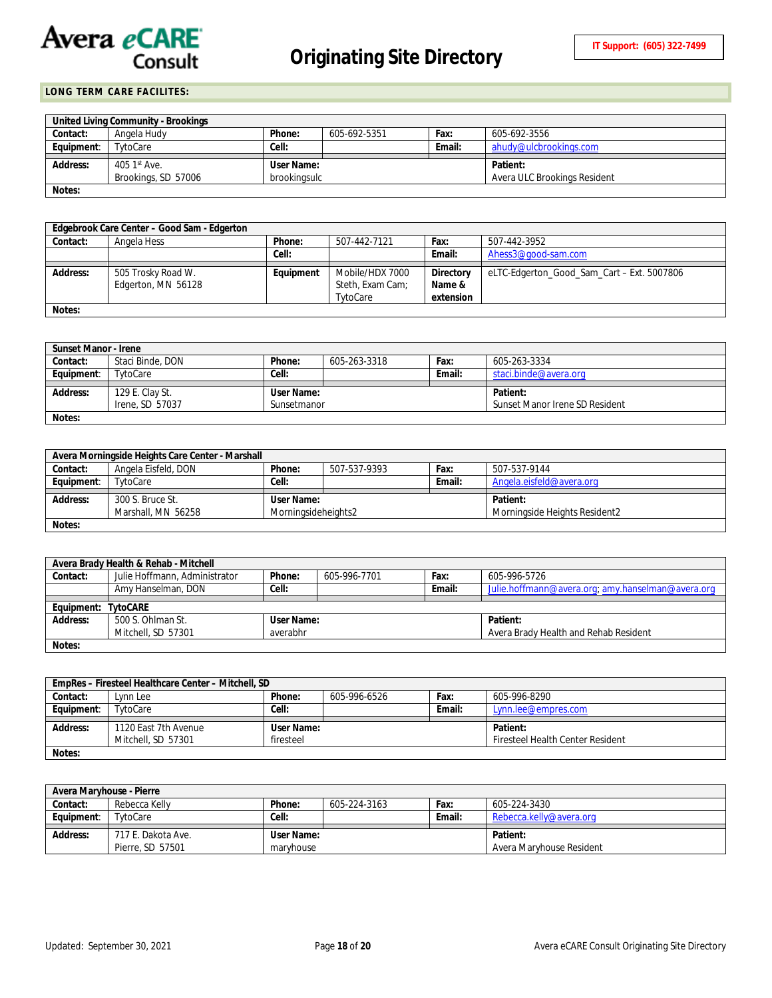

### <span id="page-17-0"></span>**LONG TERM CARE FACILITES:**

|                 | United Living Community - Brookings |              |              |        |                              |
|-----------------|-------------------------------------|--------------|--------------|--------|------------------------------|
| Contact:        | Angela Hudy                         | Phone:       | 605-692-5351 | Fax:   | 605-692-3556                 |
| Equipment:      | TvtoCare                            | Cell:        |              | Email: | ahudv@ulcbrookings.com       |
|                 |                                     |              |              |        |                              |
|                 |                                     |              |              |        |                              |
| <b>Address:</b> | 405 $1st$ Ave.                      | User Name:   |              |        | Patient:                     |
|                 | Brookings, SD 57006                 | brookingsulc |              |        | Avera ULC Brookings Resident |

|          | Edgebrook Care Center – Good Sam - Edgerton |           |                  |           |                                            |
|----------|---------------------------------------------|-----------|------------------|-----------|--------------------------------------------|
| Contact: | Angela Hess                                 | Phone:    | 507-442-7121     | Fax:      | 507-442-3952                               |
|          |                                             | Cell:     |                  | Email:    | Ahess3@good-sam.com                        |
|          |                                             |           |                  |           |                                            |
| Address: | 505 Trosky Road W.                          | Equipment | Mobile/HDX 7000  | Directory | eLTC-Edgerton_Good_Sam_Cart - Ext. 5007806 |
|          | Edgerton, MN 56128                          |           | Steth, Exam Cam; | Name &    |                                            |
|          |                                             |           | TytoCare         | extension |                                            |
| Notes:   |                                             |           |                  |           |                                            |

| Sunset Manor - Irene |                  |             |              |        |                                |
|----------------------|------------------|-------------|--------------|--------|--------------------------------|
| Contact:             | Staci Binde, DON | Phone:      | 605-263-3318 | Fax:   | 605-263-3334                   |
| Equipment:           | TytoCare         | Cell:       |              | Email: | staci.binde@avera.org          |
|                      |                  |             |              |        |                                |
| Address:             | 129 E. Clay St.  | User Name:  |              |        | Patient:                       |
|                      | Irene, SD 57037  | Sunsetmanor |              |        | Sunset Manor Irene SD Resident |
| Notes:               |                  |             |              |        |                                |

|            | Avera Morningside Heights Care Center - Marshall |                     |              |        |                               |
|------------|--------------------------------------------------|---------------------|--------------|--------|-------------------------------|
| Contact:   | Angela Eisfeld, DON                              | Phone:              | 507-537-9393 | Fax:   | 507-537-9144                  |
| Equipment: | TytoCare                                         | Cell:               |              | Email: | Angela.eisfeld@avera.org      |
| Address:   | 300 S. Bruce St.                                 | User Name:          |              |        | Patient:                      |
|            | Marshall, MN 56258                               | Morningsideheights2 |              |        | Morningside Heights Resident2 |
| Notes:     |                                                  |                     |              |        |                               |

|            | Avera Brady Health & Rehab - Mitchell |            |              |        |                                                   |
|------------|---------------------------------------|------------|--------------|--------|---------------------------------------------------|
| Contact:   | Julie Hoffmann, Administrator         | Phone:     | 605-996-7701 | Fax:   | 605-996-5726                                      |
|            | Amy Hanselman, DON                    | Cell:      |              | Email: | Julie.hoffmann@avera.org; amy.hanselman@avera.org |
|            |                                       |            |              |        |                                                   |
| Equipment: | <b>TytoCARE</b>                       |            |              |        |                                                   |
| Address:   | 500 S. Ohlman St.                     | User Name: |              |        | Patient:                                          |
|            | Mitchell, SD 57301                    | averabhr   |              |        | Avera Brady Health and Rehab Resident             |
| Notes:     |                                       |            |              |        |                                                   |

|            | EmpRes – Firesteel Healthcare Center – Mitchell, SD |            |              |        |                                  |
|------------|-----------------------------------------------------|------------|--------------|--------|----------------------------------|
| Contact:   | Lvnn Lee                                            | Phone:     | 605-996-6526 | Fax:   | 605-996-8290                     |
| Equipment: | TvtoCare                                            | Cell:      |              | Email: | Lynn.lee@empres.com              |
|            |                                                     |            |              |        |                                  |
|            |                                                     |            |              |        |                                  |
| Address:   | 1120 East 7th Avenue                                | User Name: |              |        | Patient:                         |
|            | Mitchell, SD 57301                                  | firesteel  |              |        | Firesteel Health Center Resident |

| <b>Avera Maryhouse - Pierre</b> |                    |            |              |        |                          |
|---------------------------------|--------------------|------------|--------------|--------|--------------------------|
| Contact:                        | Rebecca Kelly      | Phone:     | 605-224-3163 | Fax:   | 605-224-3430             |
| Equipment:                      | TytoCare           | Cell:      |              | Email: | Rebecca.kelly@avera.org  |
| <b>Address:</b>                 | 717 E. Dakota Ave. | User Name: |              |        | Patient:                 |
|                                 | Pierre, SD 57501   | maryhouse  |              |        | Avera Maryhouse Resident |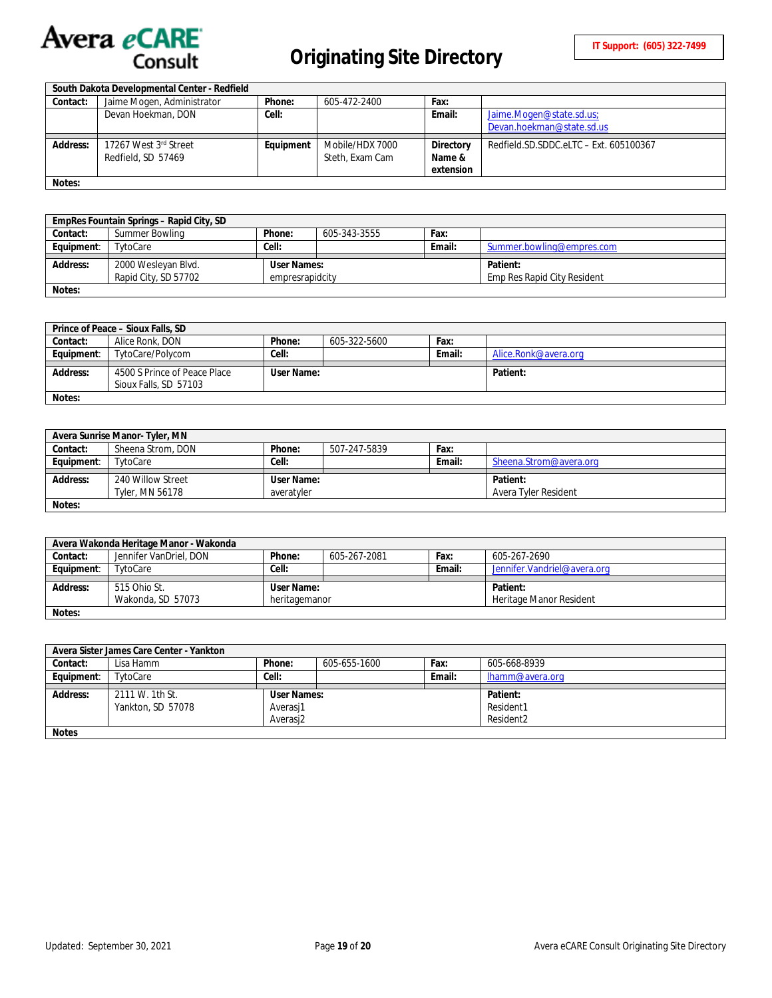

# **Originating Site Directory**

|          | South Dakota Developmental Center - Redfield |           |                 |           |                                        |
|----------|----------------------------------------------|-----------|-----------------|-----------|----------------------------------------|
| Contact: | Jaime Mogen, Administrator                   | Phone:    | 605-472-2400    | Fax:      |                                        |
|          | Devan Hoekman, DON                           | Cell:     |                 | Email:    | Jaime.Mogen@state.sd.us;               |
|          |                                              |           |                 |           | Devan.hoekman@state.sd.us              |
|          |                                              |           |                 |           |                                        |
| Address: | 17267 West 3rd Street                        | Equipment | Mobile/HDX 7000 | Directory | Redfield.SD.SDDC.eLTC - Ext. 605100367 |
|          | Redfield, SD 57469                           |           | Steth, Exam Cam | Name &    |                                        |
|          |                                              |           |                 | extension |                                        |
| Notes:   |                                              |           |                 |           |                                        |

|            | EmpRes Fountain Springs - Rapid City, SD |                 |              |        |                             |
|------------|------------------------------------------|-----------------|--------------|--------|-----------------------------|
| Contact:   | Summer Bowling                           | Phone:          | 605-343-3555 | Fax:   |                             |
| Equipment: | TytoCare                                 | Cell:           |              | Email: | Summer.bowling@empres.com   |
|            |                                          |                 |              |        |                             |
| Address:   | 2000 Wesleyan Blvd.                      | User Names:     |              |        | Patient:                    |
|            | Rapid City, SD 57702                     | empresrapidcity |              |        | Emp Res Rapid City Resident |
| Notes:     |                                          |                 |              |        |                             |

|            | Prince of Peace – Sioux Falls, SD                     |            |              |        |                      |
|------------|-------------------------------------------------------|------------|--------------|--------|----------------------|
| Contact:   | Alice Ronk, DON                                       | Phone:     | 605-322-5600 | Fax:   |                      |
| Equipment: | TytoCare/Polycom                                      | Cell:      |              | Email: | Alice.Ronk@avera.org |
|            |                                                       |            |              |        |                      |
|            |                                                       |            |              |        |                      |
| Address:   | 4500 S Prince of Peace Place<br>Sioux Falls, SD 57103 | User Name: |              |        | Patient:             |

| Avera Sunrise Manor-Tyler, MN |                   |            |              |        |                        |  |  |
|-------------------------------|-------------------|------------|--------------|--------|------------------------|--|--|
| Contact:                      | Sheena Strom, DON | Phone:     | 507-247-5839 | Fax:   |                        |  |  |
| Equipment:                    | TytoCare          | Cell:      |              | Email: | Sheena.Strom@avera.org |  |  |
|                               |                   |            |              |        |                        |  |  |
| Address:                      | 240 Willow Street | User Name: |              |        | Patient:               |  |  |
|                               | Tyler, MN 56178   | averatyler |              |        | Avera Tyler Resident   |  |  |
| Notes:                        |                   |            |              |        |                        |  |  |

| Avera Wakonda Heritage Manor - Wakonda |                        |               |              |        |                              |  |  |
|----------------------------------------|------------------------|---------------|--------------|--------|------------------------------|--|--|
| Contact:                               | Jennifer VanDriel, DON | Phone:        | 605-267-2081 | Fax:   | 605-267-2690                 |  |  |
| Equipment:                             | TytoCare               | Cell:         |              | Email: | Jennifer. Vandriel@avera.org |  |  |
|                                        |                        |               |              |        |                              |  |  |
| Address:                               | 515 Ohio St.           | User Name:    |              |        | Patient:                     |  |  |
|                                        |                        |               |              |        |                              |  |  |
|                                        | Wakonda, SD 57073      | heritagemanor |              |        | Heritage Manor Resident      |  |  |

| Avera Sister James Care Center - Yankton |                   |             |              |        |                 |  |  |
|------------------------------------------|-------------------|-------------|--------------|--------|-----------------|--|--|
| Contact:                                 | Lisa Hamm         | Phone:      | 605-655-1600 | Fax:   | 605-668-8939    |  |  |
| Equipment:                               | TytoCare          | Cell:       |              | Email: | lhamm@avera.org |  |  |
|                                          |                   |             |              |        |                 |  |  |
| <b>Address:</b>                          | 2111 W. 1th St.   | User Names: |              |        | Patient:        |  |  |
|                                          | Yankton, SD 57078 | Averasi1    |              |        | Resident1       |  |  |
|                                          |                   | Resident2   |              |        |                 |  |  |
| <b>Notes</b>                             |                   |             |              |        |                 |  |  |